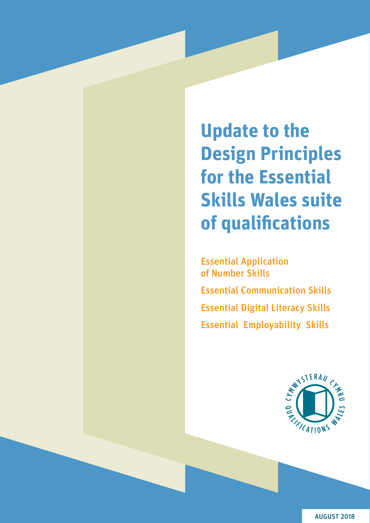**Update to the Design Principles for the Essential Skills Wales suite of qualifications**

Essential Application of Number Skills Essential Communication Skills Essential Digital Literacy Skills Essential Employability Skills



AUGUST 2018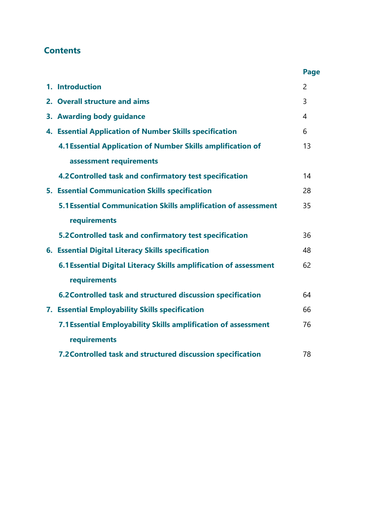# **Contents**

|                                                                   | Page           |
|-------------------------------------------------------------------|----------------|
| 1. Introduction                                                   | $\overline{2}$ |
| 2. Overall structure and aims                                     | 3              |
| 3. Awarding body guidance                                         | 4              |
| 4. Essential Application of Number Skills specification           | 6              |
| 4.1 Essential Application of Number Skills amplification of       | 13             |
| assessment requirements                                           |                |
| 4.2 Controlled task and confirmatory test specification           | 14             |
| 5. Essential Communication Skills specification                   | 28             |
| 5.1 Essential Communication Skills amplification of assessment    | 35             |
| requirements                                                      |                |
| 5.2 Controlled task and confirmatory test specification           | 36             |
| 6. Essential Digital Literacy Skills specification                | 48             |
| 6.1 Essential Digital Literacy Skills amplification of assessment | 62             |
| requirements                                                      |                |
| 6.2 Controlled task and structured discussion specification       | 64             |
| 7. Essential Employability Skills specification                   | 66             |
| 7.1 Essential Employability Skills amplification of assessment    | 76             |
| requirements                                                      |                |
| 7.2 Controlled task and structured discussion specification       | 78             |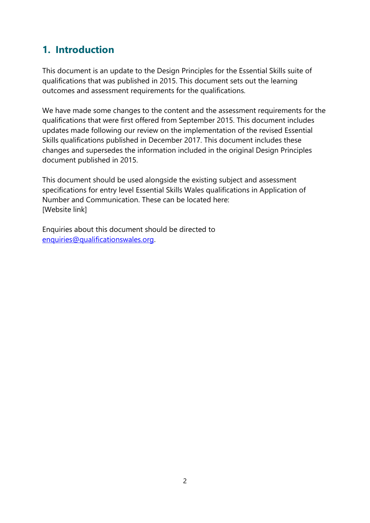# **1. Introduction**

This document is an update to the Design Principles for the Essential Skills suite of qualifications that was published in 2015. This document sets out the learning outcomes and assessment requirements for the qualifications.

We have made some changes to the content and the assessment requirements for the qualifications that were first offered from September 2015. This document includes updates made following our review on the implementation of the revised Essential Skills qualifications published in December 2017. This document includes these changes and supersedes the information included in the original Design Principles document published in 2015.

This document should be used alongside the existing subject and assessment specifications for entry level Essential Skills Wales qualifications in Application of Number and Communication. These can be located here: [Website link]

Enquiries about this document should be directed to [enquiries@qualificationswales.org.](mailto:enquiries@qualificationswales.org)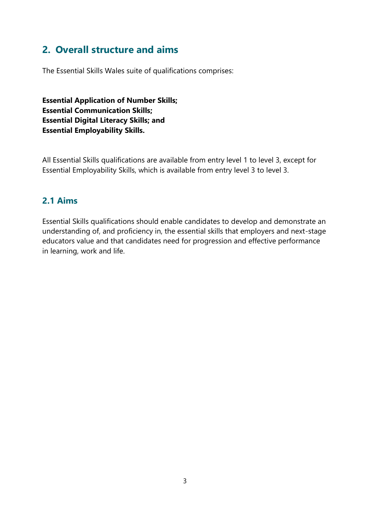# **2. Overall structure and aims**

The Essential Skills Wales suite of qualifications comprises:

**Essential Application of Number Skills; Essential Communication Skills; Essential Digital Literacy Skills; and Essential Employability Skills.**

All Essential Skills qualifications are available from entry level 1 to level 3, except for Essential Employability Skills, which is available from entry level 3 to level 3.

#### **2.1 Aims**

Essential Skills qualifications should enable candidates to develop and demonstrate an understanding of, and proficiency in, the essential skills that employers and next-stage educators value and that candidates need for progression and effective performance in learning, work and life.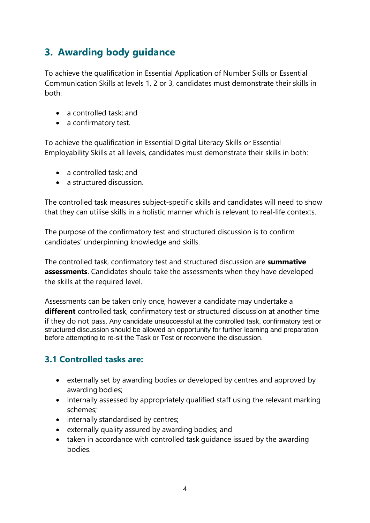# **3. Awarding body guidance**

To achieve the qualification in Essential Application of Number Skills or Essential Communication Skills at levels 1, 2 or 3, candidates must demonstrate their skills in both:

- a controlled task; and
- a confirmatory test.

To achieve the qualification in Essential Digital Literacy Skills or Essential Employability Skills at all levels, candidates must demonstrate their skills in both:

- a controlled task: and
- a structured discussion.

The controlled task measures subject-specific skills and candidates will need to show that they can utilise skills in a holistic manner which is relevant to real-life contexts.

The purpose of the confirmatory test and structured discussion is to confirm candidates' underpinning knowledge and skills.

The controlled task, confirmatory test and structured discussion are **summative assessments**. Candidates should take the assessments when they have developed the skills at the required level.

Assessments can be taken only once, however a candidate may undertake a **different** controlled task, confirmatory test or structured discussion at another time if they do not pass. Any candidate unsuccessful at the controlled task, confirmatory test or structured discussion should be allowed an opportunity for further learning and preparation before attempting to re-sit the Task or Test or reconvene the discussion.

## **3.1 Controlled tasks are:**

- externally set by awarding bodies *or* developed by centres and approved by awarding bodies;
- internally assessed by appropriately qualified staff using the relevant marking schemes;
- internally standardised by centres;
- externally quality assured by awarding bodies; and
- taken in accordance with controlled task guidance issued by the awarding bodies.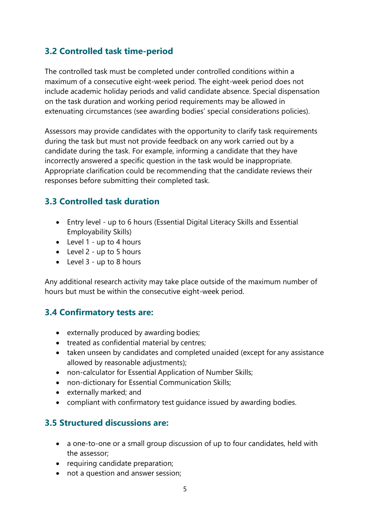#### **3.2 Controlled task time-period**

The controlled task must be completed under controlled conditions within a maximum of a consecutive eight-week period. The eight-week period does not include academic holiday periods and valid candidate absence. Special dispensation on the task duration and working period requirements may be allowed in extenuating circumstances (see awarding bodies' special considerations policies).

Assessors may provide candidates with the opportunity to clarify task requirements during the task but must not provide feedback on any work carried out by a candidate during the task. For example, informing a candidate that they have incorrectly answered a specific question in the task would be inappropriate. Appropriate clarification could be recommending that the candidate reviews their responses before submitting their completed task.

## **3.3 Controlled task duration**

- Entry level up to 6 hours (Essential Digital Literacy Skills and Essential Employability Skills)
- Level 1 up to 4 hours
- Level 2 up to 5 hours
- Level 3 up to 8 hours

Any additional research activity may take place outside of the maximum number of hours but must be within the consecutive eight-week period.

#### **3.4 Confirmatory tests are:**

- externally produced by awarding bodies;
- treated as confidential material by centres;
- taken unseen by candidates and completed unaided (except for any assistance allowed by reasonable adjustments);
- non-calculator for Essential Application of Number Skills;
- non-dictionary for Essential Communication Skills;
- externally marked; and
- compliant with confirmatory test guidance issued by awarding bodies.

## **3.5 Structured discussions are:**

- a one-to-one or a small group discussion of up to four candidates, held with the assessor;
- requiring candidate preparation;
- not a question and answer session;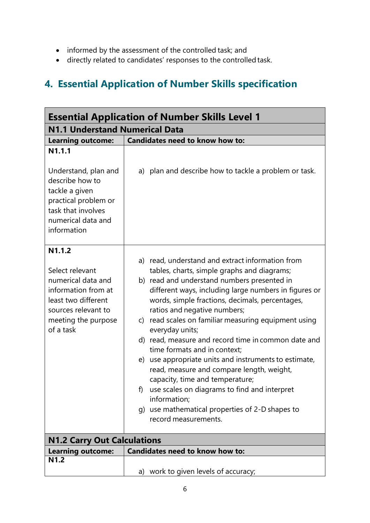- informed by the assessment of the controlled task; and
- directly related to candidates' responses to the controlled task.

# **4. Essential Application of Number Skills specification**

| <b>Essential Application of Number Skills Level 1</b>                                                                                                  |                                                                                                                                                                                                                                                                                                                                                                                                                                                                                                                                                                                                                                                                                                                                                        |  |  |
|--------------------------------------------------------------------------------------------------------------------------------------------------------|--------------------------------------------------------------------------------------------------------------------------------------------------------------------------------------------------------------------------------------------------------------------------------------------------------------------------------------------------------------------------------------------------------------------------------------------------------------------------------------------------------------------------------------------------------------------------------------------------------------------------------------------------------------------------------------------------------------------------------------------------------|--|--|
| <b>N1.1 Understand Numerical Data</b>                                                                                                                  |                                                                                                                                                                                                                                                                                                                                                                                                                                                                                                                                                                                                                                                                                                                                                        |  |  |
| <b>Learning outcome:</b>                                                                                                                               | <b>Candidates need to know how to:</b>                                                                                                                                                                                                                                                                                                                                                                                                                                                                                                                                                                                                                                                                                                                 |  |  |
| N1.1.1<br>Understand, plan and<br>describe how to<br>tackle a given<br>practical problem or<br>task that involves<br>numerical data and<br>information | a) plan and describe how to tackle a problem or task.                                                                                                                                                                                                                                                                                                                                                                                                                                                                                                                                                                                                                                                                                                  |  |  |
| N1.1.2                                                                                                                                                 |                                                                                                                                                                                                                                                                                                                                                                                                                                                                                                                                                                                                                                                                                                                                                        |  |  |
| Select relevant<br>numerical data and<br>information from at<br>least two different<br>sources relevant to<br>meeting the purpose<br>of a task         | a) read, understand and extract information from<br>tables, charts, simple graphs and diagrams;<br>b) read and understand numbers presented in<br>different ways, including large numbers in figures or<br>words, simple fractions, decimals, percentages,<br>ratios and negative numbers;<br>c) read scales on familiar measuring equipment using<br>everyday units;<br>d) read, measure and record time in common date and<br>time formats and in context;<br>e) use appropriate units and instruments to estimate,<br>read, measure and compare length, weight,<br>capacity, time and temperature;<br>use scales on diagrams to find and interpret<br>f)<br>information;<br>g) use mathematical properties of 2-D shapes to<br>record measurements. |  |  |
| <b>N1.2 Carry Out Calculations</b>                                                                                                                     |                                                                                                                                                                                                                                                                                                                                                                                                                                                                                                                                                                                                                                                                                                                                                        |  |  |
| <b>Learning outcome:</b>                                                                                                                               | <b>Candidates need to know how to:</b>                                                                                                                                                                                                                                                                                                                                                                                                                                                                                                                                                                                                                                                                                                                 |  |  |
| <b>N1.2</b>                                                                                                                                            | a) work to given levels of accuracy;                                                                                                                                                                                                                                                                                                                                                                                                                                                                                                                                                                                                                                                                                                                   |  |  |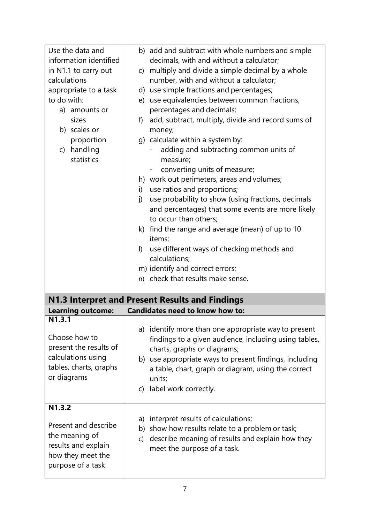| Use the data and                             | b) add and subtract with whole numbers and simple                                                                                      |
|----------------------------------------------|----------------------------------------------------------------------------------------------------------------------------------------|
| information identified                       | decimals, with and without a calculator;                                                                                               |
| in N1.1 to carry out                         | multiply and divide a simple decimal by a whole<br>C)                                                                                  |
| calculations                                 | number, with and without a calculator;                                                                                                 |
| appropriate to a task                        | d) use simple fractions and percentages;                                                                                               |
| to do with:                                  | e) use equivalencies between common fractions,                                                                                         |
| a) amounts or                                | percentages and decimals;                                                                                                              |
| sizes<br>b) scales or                        | add, subtract, multiply, divide and record sums of<br>f)<br>money;                                                                     |
| proportion                                   | g) calculate within a system by:                                                                                                       |
| c) handling<br>statistics                    | adding and subtracting common units of<br>measure;                                                                                     |
|                                              | converting units of measure;                                                                                                           |
|                                              | h) work out perimeters, areas and volumes;                                                                                             |
|                                              | use ratios and proportions;<br>i)                                                                                                      |
|                                              | use probability to show (using fractions, decimals<br>i)<br>and percentages) that some events are more likely<br>to occur than others; |
|                                              | k) find the range and average (mean) of up to 10                                                                                       |
|                                              | items;                                                                                                                                 |
|                                              | use different ways of checking methods and<br>$\vert$                                                                                  |
|                                              | calculations;                                                                                                                          |
|                                              |                                                                                                                                        |
|                                              | m) identify and correct errors;                                                                                                        |
|                                              | n) check that results make sense.                                                                                                      |
|                                              |                                                                                                                                        |
|                                              | N1.3 Interpret and Present Results and Findings                                                                                        |
| <b>Learning outcome:</b>                     | Candidates need to know how to:                                                                                                        |
| N1.3.1                                       |                                                                                                                                        |
| Choose how to                                | a) identify more than one appropriate way to present<br>findings to a given audience, including using tables,                          |
| present the results of<br>calculations using | charts, graphs or diagrams;                                                                                                            |
| tables, charts, graphs                       | b) use appropriate ways to present findings, including                                                                                 |
| or diagrams                                  | a table, chart, graph or diagram, using the correct<br>units;                                                                          |
|                                              |                                                                                                                                        |
|                                              | c) label work correctly.                                                                                                               |
| N1.3.2                                       |                                                                                                                                        |
|                                              | interpret results of calculations;<br>a)                                                                                               |
| Present and describe                         | show how results relate to a problem or task;<br>b)                                                                                    |
| the meaning of                               | describe meaning of results and explain how they<br>$\mathsf{C}$                                                                       |
| results and explain                          | meet the purpose of a task.                                                                                                            |
| how they meet the<br>purpose of a task       |                                                                                                                                        |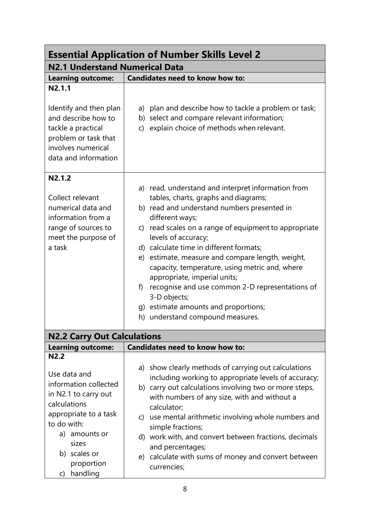| <b>Essential Application of Number Skills Level 2</b>                                                                                     |                                                                                                                                                                                                                                                                                                                                                                                                                                                                                                                                                                                    |  |  |
|-------------------------------------------------------------------------------------------------------------------------------------------|------------------------------------------------------------------------------------------------------------------------------------------------------------------------------------------------------------------------------------------------------------------------------------------------------------------------------------------------------------------------------------------------------------------------------------------------------------------------------------------------------------------------------------------------------------------------------------|--|--|
| <b>N2.1 Understand Numerical Data</b>                                                                                                     |                                                                                                                                                                                                                                                                                                                                                                                                                                                                                                                                                                                    |  |  |
| <b>Learning outcome:</b>                                                                                                                  | Candidates need to know how to:                                                                                                                                                                                                                                                                                                                                                                                                                                                                                                                                                    |  |  |
| N2.1.1                                                                                                                                    |                                                                                                                                                                                                                                                                                                                                                                                                                                                                                                                                                                                    |  |  |
| Identify and then plan<br>and describe how to<br>tackle a practical<br>problem or task that<br>involves numerical<br>data and information | a) plan and describe how to tackle a problem or task;<br>b) select and compare relevant information;<br>c) explain choice of methods when relevant.                                                                                                                                                                                                                                                                                                                                                                                                                                |  |  |
| N2.1.2                                                                                                                                    |                                                                                                                                                                                                                                                                                                                                                                                                                                                                                                                                                                                    |  |  |
| Collect relevant<br>numerical data and<br>information from a<br>range of sources to<br>meet the purpose of<br>a task                      | a) read, understand and interpret information from<br>tables, charts, graphs and diagrams;<br>b) read and understand numbers presented in<br>different ways;<br>c) read scales on a range of equipment to appropriate<br>levels of accuracy;<br>d) calculate time in different formats;<br>e) estimate, measure and compare length, weight,<br>capacity, temperature, using metric and, where<br>appropriate, imperial units;<br>recognise and use common 2-D representations of<br>f)<br>3-D objects;<br>g) estimate amounts and proportions;<br>h) understand compound measures. |  |  |
| <b>N2.2 Carry Out Calculations</b>                                                                                                        |                                                                                                                                                                                                                                                                                                                                                                                                                                                                                                                                                                                    |  |  |
| <b>Learning outcome:</b>                                                                                                                  | <b>Candidates need to know how to:</b>                                                                                                                                                                                                                                                                                                                                                                                                                                                                                                                                             |  |  |
| N2.2<br>Use data and<br>information collected<br>in N2.1 to carry out<br>calculations<br>appropriate to a task                            | a) show clearly methods of carrying out calculations<br>including working to appropriate levels of accuracy;<br>b) carry out calculations involving two or more steps,<br>with numbers of any size, with and without a<br>calculator;<br>c) use mental arithmetic involving whole numbers and                                                                                                                                                                                                                                                                                      |  |  |
| to do with:<br>a) amounts or<br>sizes<br>b) scales or<br>proportion<br>handling<br>C)                                                     | simple fractions;<br>d) work with, and convert between fractions, decimals<br>and percentages;<br>e) calculate with sums of money and convert between<br>currencies;                                                                                                                                                                                                                                                                                                                                                                                                               |  |  |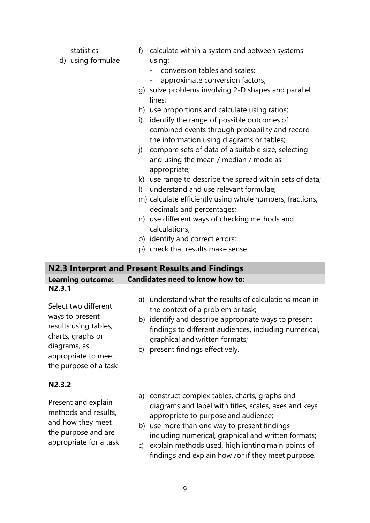| statistics               | f)           | calculate within a system and between systems                                                 |
|--------------------------|--------------|-----------------------------------------------------------------------------------------------|
| d) using formulae        |              | using:                                                                                        |
|                          |              | conversion tables and scales;                                                                 |
|                          |              | approximate conversion factors;                                                               |
|                          |              | g) solve problems involving 2-D shapes and parallel                                           |
|                          |              | lines;                                                                                        |
|                          |              | h) use proportions and calculate using ratios;                                                |
|                          | i)           | identify the range of possible outcomes of                                                    |
|                          |              | combined events through probability and record                                                |
|                          |              | the information using diagrams or tables;                                                     |
|                          | $\mathsf{I}$ | compare sets of data of a suitable size, selecting                                            |
|                          |              | and using the mean / median / mode as                                                         |
|                          |              | appropriate;                                                                                  |
|                          |              | k) use range to describe the spread within sets of data;                                      |
|                          | $\mathsf{D}$ | understand and use relevant formulae;                                                         |
|                          |              | m) calculate efficiently using whole numbers, fractions,                                      |
|                          |              | decimals and percentages;                                                                     |
|                          |              | n) use different ways of checking methods and                                                 |
|                          |              | calculations;                                                                                 |
|                          |              | o) identify and correct errors;<br>p) check that results make sense.                          |
|                          |              |                                                                                               |
|                          |              |                                                                                               |
|                          |              | N2.3 Interpret and Present Results and Findings                                               |
| <b>Learning outcome:</b> |              | <b>Candidates need to know how to:</b>                                                        |
| N2.3.1                   |              |                                                                                               |
|                          |              | a) understand what the results of calculations mean in                                        |
| Select two different     |              | the context of a problem or task;                                                             |
| ways to present          |              | b) identify and describe appropriate ways to present                                          |
| results using tables,    |              | findings to different audiences, including numerical,                                         |
| charts, graphs or        |              | graphical and written formats;                                                                |
| diagrams, as             |              | c) present findings effectively.                                                              |
| appropriate to meet      |              |                                                                                               |
| the purpose of a task    |              |                                                                                               |
| N2.3.2                   |              |                                                                                               |
|                          |              |                                                                                               |
| Present and explain      |              | a) construct complex tables, charts, graphs and                                               |
| methods and results,     |              | diagrams and label with titles, scales, axes and keys<br>appropriate to purpose and audience; |
| and how they meet        | b)           | use more than one way to present findings                                                     |
| the purpose and are      |              | including numerical, graphical and written formats;                                           |
| appropriate for a task   | $\mathsf{C}$ | explain methods used, highlighting main points of                                             |
|                          |              | findings and explain how /or if they meet purpose.                                            |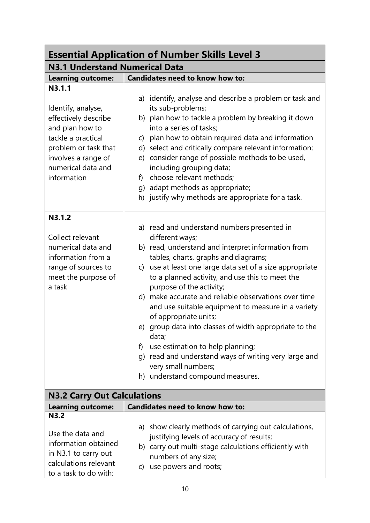| <b>Essential Application of Number Skills Level 3</b>                                                                                                                             |                                                                                                                                                                                                                                                                                                                                                                                                                                                                                                                                                                                                                                                                                 |  |  |
|-----------------------------------------------------------------------------------------------------------------------------------------------------------------------------------|---------------------------------------------------------------------------------------------------------------------------------------------------------------------------------------------------------------------------------------------------------------------------------------------------------------------------------------------------------------------------------------------------------------------------------------------------------------------------------------------------------------------------------------------------------------------------------------------------------------------------------------------------------------------------------|--|--|
| <b>N3.1 Understand Numerical Data</b>                                                                                                                                             |                                                                                                                                                                                                                                                                                                                                                                                                                                                                                                                                                                                                                                                                                 |  |  |
| <b>Learning outcome:</b>                                                                                                                                                          | Candidates need to know how to:                                                                                                                                                                                                                                                                                                                                                                                                                                                                                                                                                                                                                                                 |  |  |
| N3.1.1<br>Identify, analyse,<br>effectively describe<br>and plan how to<br>tackle a practical<br>problem or task that<br>involves a range of<br>numerical data and<br>information | a) identify, analyse and describe a problem or task and<br>its sub-problems;<br>b) plan how to tackle a problem by breaking it down<br>into a series of tasks;<br>c) plan how to obtain required data and information<br>d) select and critically compare relevant information;<br>e) consider range of possible methods to be used,<br>including grouping data;<br>f) choose relevant methods;<br>g) adapt methods as appropriate;                                                                                                                                                                                                                                             |  |  |
|                                                                                                                                                                                   | h) justify why methods are appropriate for a task.                                                                                                                                                                                                                                                                                                                                                                                                                                                                                                                                                                                                                              |  |  |
| N3.1.2<br>Collect relevant<br>numerical data and<br>information from a<br>range of sources to<br>meet the purpose of<br>a task                                                    | a) read and understand numbers presented in<br>different ways;<br>b) read, understand and interpret information from<br>tables, charts, graphs and diagrams;<br>c) use at least one large data set of a size appropriate<br>to a planned activity, and use this to meet the<br>purpose of the activity;<br>d) make accurate and reliable observations over time<br>and use suitable equipment to measure in a variety<br>of appropriate units;<br>e) group data into classes of width appropriate to the<br>data;<br>use estimation to help planning;<br>f)<br>g) read and understand ways of writing very large and<br>very small numbers;<br>h) understand compound measures. |  |  |
| <b>N3.2 Carry Out Calculations</b>                                                                                                                                                |                                                                                                                                                                                                                                                                                                                                                                                                                                                                                                                                                                                                                                                                                 |  |  |
| <b>Learning outcome:</b>                                                                                                                                                          | <b>Candidates need to know how to:</b>                                                                                                                                                                                                                                                                                                                                                                                                                                                                                                                                                                                                                                          |  |  |
| N3.2<br>Use the data and<br>information obtained<br>in N3.1 to carry out<br>calculations relevant                                                                                 | a) show clearly methods of carrying out calculations,<br>justifying levels of accuracy of results;<br>b) carry out multi-stage calculations efficiently with<br>numbers of any size;<br>c) use powers and roots;                                                                                                                                                                                                                                                                                                                                                                                                                                                                |  |  |
| to a task to do with:                                                                                                                                                             |                                                                                                                                                                                                                                                                                                                                                                                                                                                                                                                                                                                                                                                                                 |  |  |

٦

r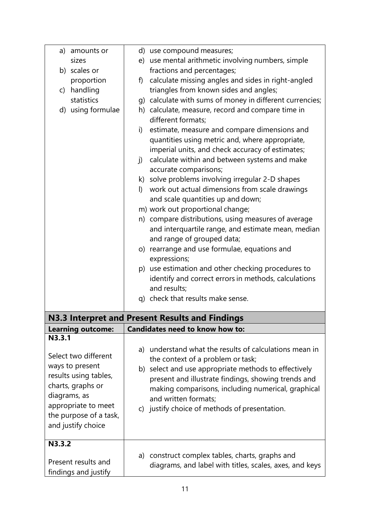| a) amounts or            | d) use compound measures;                                                                                     |
|--------------------------|---------------------------------------------------------------------------------------------------------------|
| sizes                    | e) use mental arithmetic involving numbers, simple                                                            |
| b) scales or             | fractions and percentages;                                                                                    |
| proportion               | calculate missing angles and sides in right-angled<br>f)                                                      |
| c) handling              | triangles from known sides and angles;                                                                        |
| statistics               | g) calculate with sums of money in different currencies;                                                      |
| d) using formulae        | h) calculate, measure, record and compare time in<br>different formats;                                       |
|                          | estimate, measure and compare dimensions and<br>i)<br>quantities using metric and, where appropriate,         |
|                          | imperial units, and check accuracy of estimates;                                                              |
|                          | calculate within and between systems and make<br>j)                                                           |
|                          | accurate comparisons;                                                                                         |
|                          | k) solve problems involving irregular 2-D shapes<br>work out actual dimensions from scale drawings<br>$\vert$ |
|                          | and scale quantities up and down;                                                                             |
|                          | m) work out proportional change;                                                                              |
|                          | n) compare distributions, using measures of average                                                           |
|                          | and interquartile range, and estimate mean, median                                                            |
|                          | and range of grouped data;                                                                                    |
|                          | o) rearrange and use formulae, equations and                                                                  |
|                          | expressions;                                                                                                  |
|                          | p) use estimation and other checking procedures to                                                            |
|                          | identify and correct errors in methods, calculations                                                          |
|                          | and results;                                                                                                  |
|                          | q) check that results make sense.                                                                             |
|                          | N3.3 Interpret and Present Results and Findings                                                               |
| <b>Learning outcome:</b> | Candidates need to know how to:                                                                               |
| N3.3.1                   |                                                                                                               |
| Select two different     | a) understand what the results of calculations mean in                                                        |
| ways to present          | the context of a problem or task;                                                                             |
| results using tables,    | b) select and use appropriate methods to effectively                                                          |
| charts, graphs or        | present and illustrate findings, showing trends and                                                           |
| diagrams, as             | making comparisons, including numerical, graphical                                                            |
| appropriate to meet      | and written formats;                                                                                          |
| the purpose of a task,   | c) justify choice of methods of presentation.                                                                 |
| and justify choice       |                                                                                                               |
| N3.3.2                   |                                                                                                               |
|                          |                                                                                                               |
| Present results and      | a) construct complex tables, charts, graphs and<br>diagrams, and label with titles, scales, axes, and keys    |
| findings and justify     |                                                                                                               |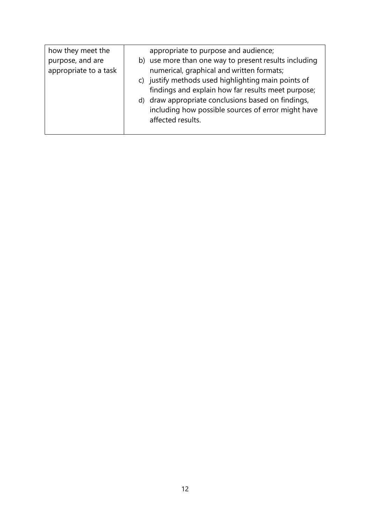| how they meet the     | appropriate to purpose and audience;                                                                                          |
|-----------------------|-------------------------------------------------------------------------------------------------------------------------------|
| purpose, and are      | b) use more than one way to present results including                                                                         |
| appropriate to a task | numerical, graphical and written formats;<br>c) justify methods used highlighting main points of                              |
|                       | findings and explain how far results meet purpose;                                                                            |
|                       | d) draw appropriate conclusions based on findings,<br>including how possible sources of error might have<br>affected results. |
|                       |                                                                                                                               |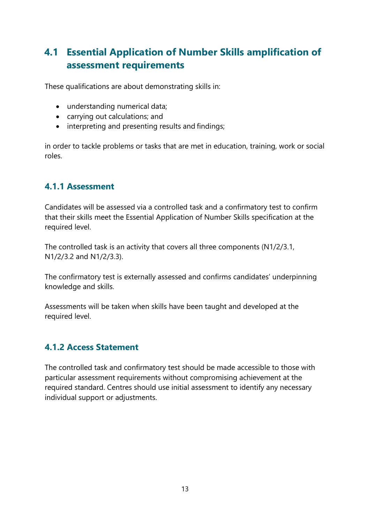# **4.1 Essential Application of Number Skills amplification of assessment requirements**

These qualifications are about demonstrating skills in:

- understanding numerical data;
- carrying out calculations; and
- interpreting and presenting results and findings;

in order to tackle problems or tasks that are met in education, training, work or social roles.

#### **4.1.1 Assessment**

Candidates will be assessed via a controlled task and a confirmatory test to confirm that their skills meet the Essential Application of Number Skills specification at the required level.

The controlled task is an activity that covers all three components (N1/2/3.1, N1/2/3.2 and N1/2/3.3).

The confirmatory test is externally assessed and confirms candidates' underpinning knowledge and skills.

Assessments will be taken when skills have been taught and developed at the required level.

#### **4.1.2 Access Statement**

The controlled task and confirmatory test should be made accessible to those with particular assessment requirements without compromising achievement at the required standard. Centres should use initial assessment to identify any necessary individual support or adjustments.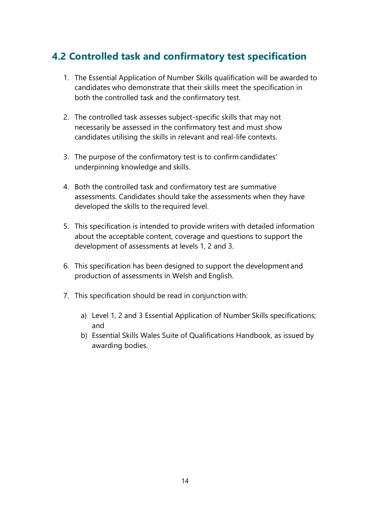# **4.2 Controlled task and confirmatory test specification**

- 1. The Essential Application of Number Skills qualification will be awarded to candidates who demonstrate that their skills meet the specification in both the controlled task and the confirmatory test.
- 2. The controlled task assesses subject-specific skills that may not necessarily be assessed in the confirmatory test and must show candidates utilising the skills in relevant and real-life contexts.
- 3. The purpose of the confirmatory test is to confirm candidates' underpinning knowledge and skills.
- 4. Both the controlled task and confirmatory test are summative assessments. Candidates should take the assessments when they have developed the skills to the required level.
- 5. This specification is intended to provide writers with detailed information about the acceptable content, coverage and questions to support the development of assessments at levels 1, 2 and 3.
- 6. This specification has been designed to support the development and production of assessments in Welsh and English.
- 7. This specification should be read in conjunction with:
	- a) Level 1, 2 and 3 Essential Application of Number Skills specifications; and
	- b) Essential Skills Wales Suite of Qualifications Handbook, as issued by awarding bodies.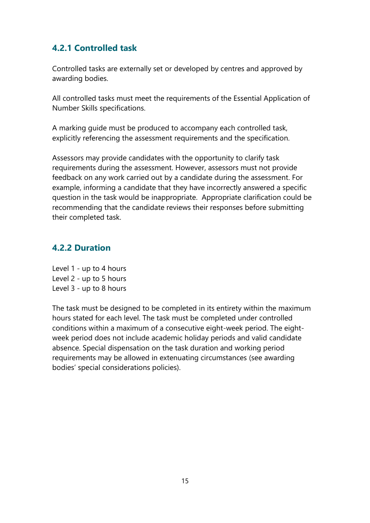#### **4.2.1 Controlled task**

Controlled tasks are externally set or developed by centres and approved by awarding bodies.

All controlled tasks must meet the requirements of the Essential Application of Number Skills specifications.

A marking guide must be produced to accompany each controlled task, explicitly referencing the assessment requirements and the specification.

Assessors may provide candidates with the opportunity to clarify task requirements during the assessment. However, assessors must not provide feedback on any work carried out by a candidate during the assessment. For example, informing a candidate that they have incorrectly answered a specific question in the task would be inappropriate. Appropriate clarification could be recommending that the candidate reviews their responses before submitting their completed task.

#### **4.2.2 Duration**

Level 1 - up to 4 hours Level 2 - up to 5 hours Level 3 - up to 8 hours

The task must be designed to be completed in its entirety within the maximum hours stated for each level. The task must be completed under controlled conditions within a maximum of a consecutive eight-week period. The eightweek period does not include academic holiday periods and valid candidate absence. Special dispensation on the task duration and working period requirements may be allowed in extenuating circumstances (see awarding bodies' special considerations policies).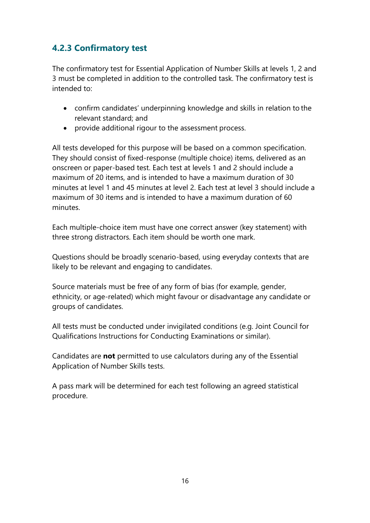## **4.2.3 Confirmatory test**

The confirmatory test for Essential Application of Number Skills at levels 1, 2 and 3 must be completed in addition to the controlled task. The confirmatory test is intended to:

- confirm candidates' underpinning knowledge and skills in relation to the relevant standard; and
- provide additional rigour to the assessment process.

All tests developed for this purpose will be based on a common specification. They should consist of fixed-response (multiple choice) items, delivered as an onscreen or paper-based test. Each test at levels 1 and 2 should include a maximum of 20 items, and is intended to have a maximum duration of 30 minutes at level 1 and 45 minutes at level 2. Each test at level 3 should include a maximum of 30 items and is intended to have a maximum duration of 60 minutes.

Each multiple-choice item must have one correct answer (key statement) with three strong distractors. Each item should be worth one mark.

Questions should be broadly scenario-based, using everyday contexts that are likely to be relevant and engaging to candidates.

Source materials must be free of any form of bias (for example, gender, ethnicity, or age-related) which might favour or disadvantage any candidate or groups of candidates.

All tests must be conducted under invigilated conditions (e.g. Joint Council for Qualifications Instructions for Conducting Examinations or similar).

Candidates are **not** permitted to use calculators during any of the Essential Application of Number Skills tests.

A pass mark will be determined for each test following an agreed statistical procedure.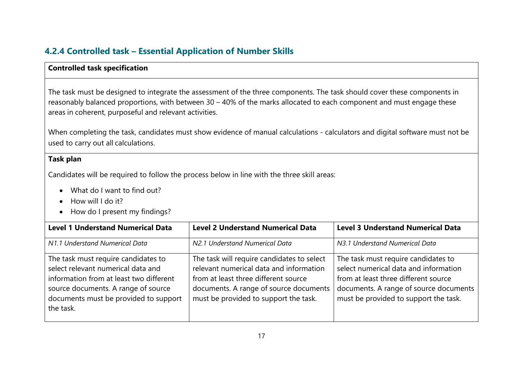## **4.2.4 Controlled task – Essential Application of Number Skills**

#### **Controlled task specification**

The task must be designed to integrate the assessment of the three components. The task should cover these components in reasonably balanced proportions, with between 30 – 40% of the marks allocated to each component and must engage these areas in coherent, purposeful and relevant activities.

When completing the task, candidates must show evidence of manual calculations - calculators and digital software must not be used to carry out all calculations.

#### **Task plan**

Candidates will be required to follow the process below in line with the three skill areas:

- What do I want to find out?
- How will I do it?
- How do I present my findings?

| <b>Level 1 Understand Numerical Data</b>                                                                                                                                                                          | <b>Level 2 Understand Numerical Data</b>                                                                                                                                                                         | <b>Level 3 Understand Numerical Data</b>                                                                                                                                                                |
|-------------------------------------------------------------------------------------------------------------------------------------------------------------------------------------------------------------------|------------------------------------------------------------------------------------------------------------------------------------------------------------------------------------------------------------------|---------------------------------------------------------------------------------------------------------------------------------------------------------------------------------------------------------|
| N1.1 Understand Numerical Data                                                                                                                                                                                    | N2.1 Understand Numerical Data                                                                                                                                                                                   | N3.1 Understand Numerical Data                                                                                                                                                                          |
| The task must require candidates to<br>select relevant numerical data and<br>information from at least two different<br>source documents. A range of source<br>documents must be provided to support<br>the task. | The task will require candidates to select<br>relevant numerical data and information<br>from at least three different source<br>documents. A range of source documents<br>must be provided to support the task. | The task must require candidates to<br>select numerical data and information<br>from at least three different source<br>documents. A range of source documents<br>must be provided to support the task. |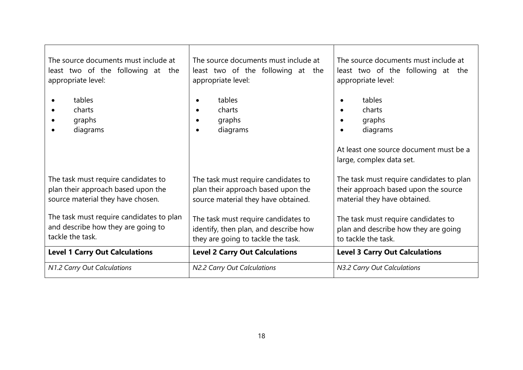| The source documents must include at     | The source documents must include at                             | The source documents must include at                                                                         |
|------------------------------------------|------------------------------------------------------------------|--------------------------------------------------------------------------------------------------------------|
| least two of the following at the        | least two of the following at the                                | least two of the following at the                                                                            |
| appropriate level:                       | appropriate level:                                               | appropriate level:                                                                                           |
| tables<br>charts<br>graphs<br>diagrams   | tables<br>$\bullet$<br>charts<br>graphs<br>diagrams<br>$\bullet$ | tables<br>charts<br>graphs<br>diagrams<br>At least one source document must be a<br>large, complex data set. |
| The task must require candidates to      | The task must require candidates to                              | The task must require candidates to plan                                                                     |
| plan their approach based upon the       | plan their approach based upon the                               | their approach based upon the source                                                                         |
| source material they have chosen.        | source material they have obtained.                              | material they have obtained.                                                                                 |
| The task must require candidates to plan | The task must require candidates to                              | The task must require candidates to                                                                          |
| and describe how they are going to       | identify, then plan, and describe how                            | plan and describe how they are going                                                                         |
| tackle the task.                         | they are going to tackle the task.                               | to tackle the task.                                                                                          |
| <b>Level 1 Carry Out Calculations</b>    | <b>Level 2 Carry Out Calculations</b>                            | <b>Level 3 Carry Out Calculations</b>                                                                        |
| N1.2 Carry Out Calculations              | N2.2 Carry Out Calculations                                      | N3.2 Carry Out Calculations                                                                                  |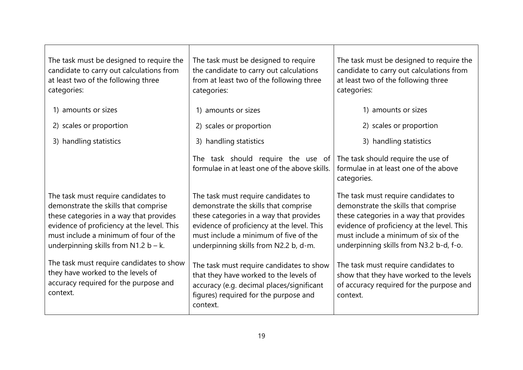| The task must be designed to require the<br>candidate to carry out calculations from<br>at least two of the following three<br>categories:                                                                                                                                                           | The task must be designed to require<br>the candidate to carry out calculations<br>from at least two of the following three<br>categories:                                                                                                             | The task must be designed to require the<br>candidate to carry out calculations from<br>at least two of the following three<br>categories:                                                                                                              |
|------------------------------------------------------------------------------------------------------------------------------------------------------------------------------------------------------------------------------------------------------------------------------------------------------|--------------------------------------------------------------------------------------------------------------------------------------------------------------------------------------------------------------------------------------------------------|---------------------------------------------------------------------------------------------------------------------------------------------------------------------------------------------------------------------------------------------------------|
| 1) amounts or sizes                                                                                                                                                                                                                                                                                  | 1) amounts or sizes                                                                                                                                                                                                                                    | 1) amounts or sizes                                                                                                                                                                                                                                     |
| 2) scales or proportion                                                                                                                                                                                                                                                                              | 2) scales or proportion                                                                                                                                                                                                                                | 2) scales or proportion                                                                                                                                                                                                                                 |
| 3) handling statistics                                                                                                                                                                                                                                                                               | 3) handling statistics                                                                                                                                                                                                                                 | 3) handling statistics                                                                                                                                                                                                                                  |
|                                                                                                                                                                                                                                                                                                      | The task should require the use of<br>formulae in at least one of the above skills.                                                                                                                                                                    | The task should require the use of<br>formulae in at least one of the above<br>categories.                                                                                                                                                              |
| The task must require candidates to<br>demonstrate the skills that comprise<br>these categories in a way that provides<br>evidence of proficiency at the level. This<br>must include a minimum of four of the<br>underpinning skills from $N1.2 b - k$ .<br>The task must require candidates to show | The task must require candidates to<br>demonstrate the skills that comprise<br>these categories in a way that provides<br>evidence of proficiency at the level. This<br>must include a minimum of five of the<br>underpinning skills from N2.2 b, d-m. | The task must require candidates to<br>demonstrate the skills that comprise<br>these categories in a way that provides<br>evidence of proficiency at the level. This<br>must include a minimum of six of the<br>underpinning skills from N3.2 b-d, f-o. |
| they have worked to the levels of<br>accuracy required for the purpose and<br>context.                                                                                                                                                                                                               | The task must require candidates to show<br>that they have worked to the levels of<br>accuracy (e.g. decimal places/significant<br>figures) required for the purpose and<br>context.                                                                   | The task must require candidates to<br>show that they have worked to the levels<br>of accuracy required for the purpose and<br>context.                                                                                                                 |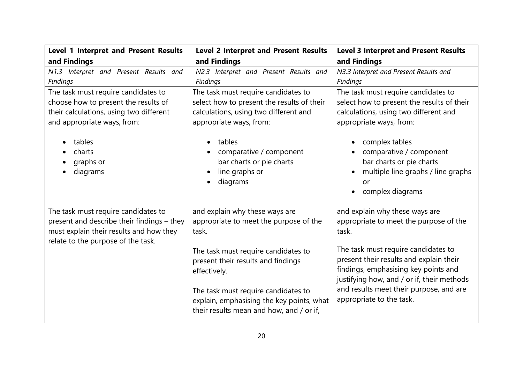| Level 1 Interpret and Present Results      | <b>Level 2 Interpret and Present Results</b>                                                                                                                                                                              | <b>Level 3 Interpret and Present Results</b>                                                                                                                                                                                                |
|--------------------------------------------|---------------------------------------------------------------------------------------------------------------------------------------------------------------------------------------------------------------------------|---------------------------------------------------------------------------------------------------------------------------------------------------------------------------------------------------------------------------------------------|
| and Findings                               | and Findings                                                                                                                                                                                                              | and Findings                                                                                                                                                                                                                                |
| N1.3 Interpret and Present Results and     | N2.3 Interpret and Present Results and                                                                                                                                                                                    | N3.3 Interpret and Present Results and                                                                                                                                                                                                      |
| Findings                                   | Findings                                                                                                                                                                                                                  | Findings                                                                                                                                                                                                                                    |
| The task must require candidates to        | The task must require candidates to                                                                                                                                                                                       | The task must require candidates to                                                                                                                                                                                                         |
| choose how to present the results of       | select how to present the results of their                                                                                                                                                                                | select how to present the results of their                                                                                                                                                                                                  |
| their calculations, using two different    | calculations, using two different and                                                                                                                                                                                     | calculations, using two different and                                                                                                                                                                                                       |
| and appropriate ways, from:                | appropriate ways, from:                                                                                                                                                                                                   | appropriate ways, from:                                                                                                                                                                                                                     |
| tables<br>charts<br>graphs or<br>diagrams  | tables<br>comparative / component<br>bar charts or pie charts<br>line graphs or<br>diagrams                                                                                                                               | complex tables<br>comparative / component<br>bar charts or pie charts<br>multiple line graphs / line graphs<br>or<br>complex diagrams                                                                                                       |
| The task must require candidates to        | and explain why these ways are                                                                                                                                                                                            | and explain why these ways are                                                                                                                                                                                                              |
| present and describe their findings - they | appropriate to meet the purpose of the                                                                                                                                                                                    | appropriate to meet the purpose of the                                                                                                                                                                                                      |
| must explain their results and how they    | task.                                                                                                                                                                                                                     | task.                                                                                                                                                                                                                                       |
| relate to the purpose of the task.         | The task must require candidates to<br>present their results and findings<br>effectively.<br>The task must require candidates to<br>explain, emphasising the key points, what<br>their results mean and how, and / or if, | The task must require candidates to<br>present their results and explain their<br>findings, emphasising key points and<br>justifying how, and / or if, their methods<br>and results meet their purpose, and are<br>appropriate to the task. |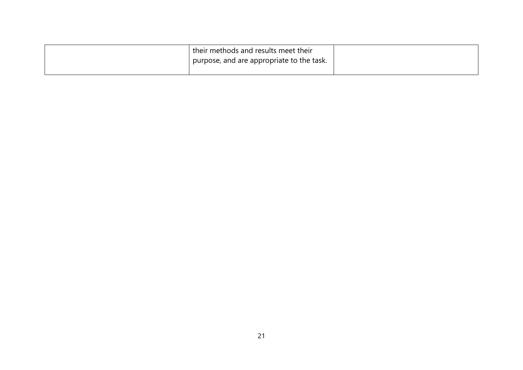| their methods and results meet their      |
|-------------------------------------------|
| purpose, and are appropriate to the task. |
|                                           |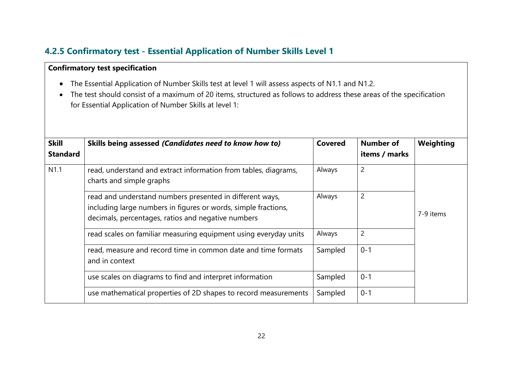## **4.2.5 Confirmatory test - Essential Application of Number Skills Level 1**

#### **Confirmatory test specification**

- The Essential Application of Number Skills test at level 1 will assess aspects of N1.1 and N1.2.
- The test should consist of a maximum of 20 items, structured as follows to address these areas of the specification for Essential Application of Number Skills at level 1:

| <b>Skill</b><br><b>Standard</b> | Skills being assessed (Candidates need to know how to)                                                                                                                           | <b>Covered</b> | <b>Number of</b><br>items / marks | Weighting |
|---------------------------------|----------------------------------------------------------------------------------------------------------------------------------------------------------------------------------|----------------|-----------------------------------|-----------|
| N <sub>1.1</sub>                | read, understand and extract information from tables, diagrams,<br>charts and simple graphs                                                                                      | Always         | $\overline{2}$                    |           |
|                                 | read and understand numbers presented in different ways,<br>including large numbers in figures or words, simple fractions,<br>decimals, percentages, ratios and negative numbers | Always         | $\overline{2}$                    | 7-9 items |
|                                 | read scales on familiar measuring equipment using everyday units                                                                                                                 | Always         | $\overline{2}$                    |           |
|                                 | read, measure and record time in common date and time formats<br>and in context                                                                                                  | Sampled        | $0 - 1$                           |           |
|                                 | use scales on diagrams to find and interpret information                                                                                                                         | Sampled        | $0 - 1$                           |           |
|                                 | use mathematical properties of 2D shapes to record measurements                                                                                                                  | Sampled        | $0 - 1$                           |           |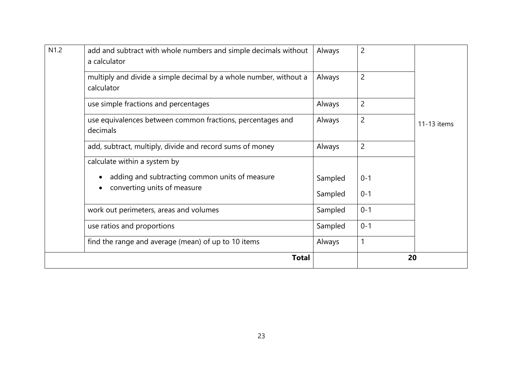| N1.2 | add and subtract with whole numbers and simple decimals without<br>a calculator | Always  | $\overline{c}$ |             |
|------|---------------------------------------------------------------------------------|---------|----------------|-------------|
|      | multiply and divide a simple decimal by a whole number, without a<br>calculator | Always  | $\overline{2}$ |             |
|      | use simple fractions and percentages                                            | Always  | $\overline{2}$ |             |
|      | use equivalences between common fractions, percentages and<br>decimals          | Always  | $\overline{c}$ | 11-13 items |
|      | add, subtract, multiply, divide and record sums of money                        | Always  | $\overline{2}$ |             |
|      | calculate within a system by                                                    |         |                |             |
|      | adding and subtracting common units of measure                                  | Sampled | $0 - 1$        |             |
|      | converting units of measure                                                     | Sampled | $0 - 1$        |             |
|      | work out perimeters, areas and volumes                                          | Sampled | $0 - 1$        |             |
|      | use ratios and proportions                                                      | Sampled | $0 - 1$        |             |
|      | find the range and average (mean) of up to 10 items                             | Always  | 1              |             |
|      | <b>Total</b>                                                                    |         | 20             |             |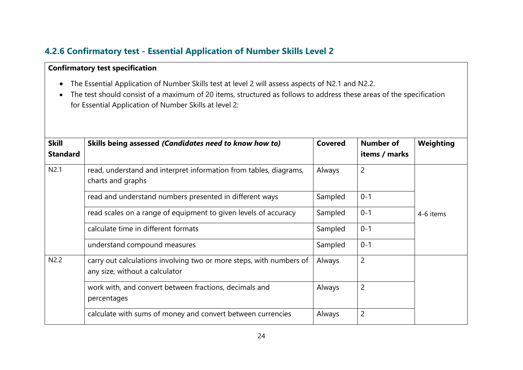## **4.2.6 Confirmatory test - Essential Application of Number Skills Level 2**

#### **Confirmatory test specification**

- The Essential Application of Number Skills test at level 2 will assess aspects of N2.1 and N2.2.
- The test should consist of a maximum of 20 items, structured as follows to address these areas of the specification for Essential Application of Number Skills at level 2:

| <b>Skill</b><br><b>Standard</b> | Skills being assessed (Candidates need to know how to)                                                | <b>Covered</b> | <b>Number of</b><br>items / marks | Weighting |  |
|---------------------------------|-------------------------------------------------------------------------------------------------------|----------------|-----------------------------------|-----------|--|
| N2.1                            | read, understand and interpret information from tables, diagrams,<br>charts and graphs                | Always         | $\overline{2}$                    |           |  |
|                                 | read and understand numbers presented in different ways                                               | Sampled        | $0 - 1$                           |           |  |
|                                 | read scales on a range of equipment to given levels of accuracy                                       | Sampled        | $0 - 1$                           | 4-6 items |  |
|                                 | calculate time in different formats                                                                   | Sampled        | $0 - 1$                           |           |  |
|                                 | understand compound measures                                                                          | Sampled        | $0 - 1$                           |           |  |
| N2.2                            | carry out calculations involving two or more steps, with numbers of<br>any size, without a calculator | Always         | $\overline{2}$                    |           |  |
|                                 | work with, and convert between fractions, decimals and<br>percentages                                 | Always         | $\overline{2}$                    |           |  |
|                                 | calculate with sums of money and convert between currencies                                           | Always         | 2                                 |           |  |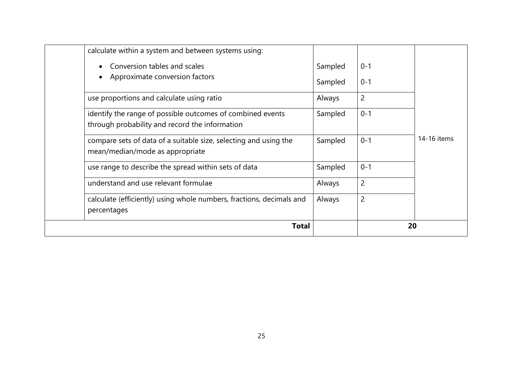| calculate within a system and between systems using:                                                         |         |                |             |
|--------------------------------------------------------------------------------------------------------------|---------|----------------|-------------|
| Conversion tables and scales                                                                                 | Sampled | $0 - 1$        |             |
| Approximate conversion factors                                                                               | Sampled | $0 - 1$        |             |
| use proportions and calculate using ratio                                                                    | Always  | $\overline{c}$ |             |
| identify the range of possible outcomes of combined events<br>through probability and record the information | Sampled | $0 - 1$        |             |
| compare sets of data of a suitable size, selecting and using the<br>mean/median/mode as appropriate          | Sampled | $0 - 1$        | 14-16 items |
| use range to describe the spread within sets of data                                                         | Sampled | $0 - 1$        |             |
| understand and use relevant formulae                                                                         | Always  | $\overline{c}$ |             |
| calculate (efficiently) using whole numbers, fractions, decimals and                                         | Always  | $\overline{c}$ |             |
| percentages                                                                                                  |         |                |             |
| <b>Total</b>                                                                                                 |         | 20             |             |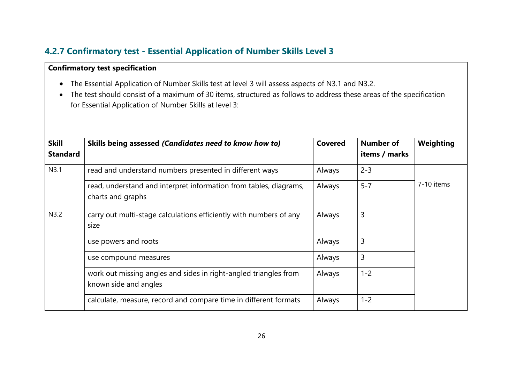## **4.2.7 Confirmatory test - Essential Application of Number Skills Level 3**

#### **Confirmatory test specification**

- The Essential Application of Number Skills test at level 3 will assess aspects of N3.1 and N3.2.
- The test should consist of a maximum of 30 items, structured as follows to address these areas of the specification for Essential Application of Number Skills at level 3:

| <b>Skill</b><br><b>Standard</b> | Skills being assessed (Candidates need to know how to)                                    | <b>Covered</b> | <b>Number of</b><br>items / marks | Weighting  |
|---------------------------------|-------------------------------------------------------------------------------------------|----------------|-----------------------------------|------------|
| N3.1                            | read and understand numbers presented in different ways                                   | Always         | $2 - 3$                           |            |
|                                 | read, understand and interpret information from tables, diagrams,<br>charts and graphs    | Always         | $5 - 7$                           | 7-10 items |
| N3.2                            | carry out multi-stage calculations efficiently with numbers of any<br>size                | Always         | 3                                 |            |
|                                 | use powers and roots                                                                      | Always         | 3                                 |            |
|                                 | use compound measures                                                                     | Always         | $\overline{3}$                    |            |
|                                 | work out missing angles and sides in right-angled triangles from<br>known side and angles | Always         | $1 - 2$                           |            |
|                                 | calculate, measure, record and compare time in different formats                          | Always         | $1 - 2$                           |            |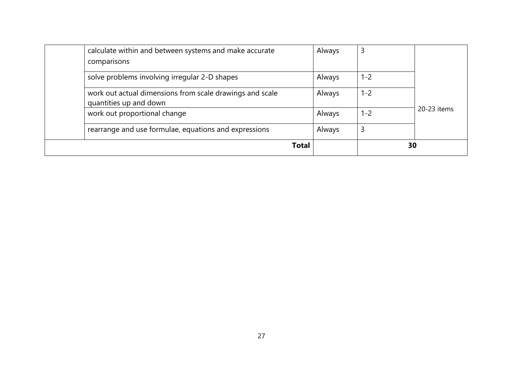| <b>Total</b>                                                                       |        |         | 30          |
|------------------------------------------------------------------------------------|--------|---------|-------------|
| rearrange and use formulae, equations and expressions                              | Always | 3       |             |
| work out proportional change                                                       | Always | 1-2     | 20-23 items |
| work out actual dimensions from scale drawings and scale<br>quantities up and down | Always | $1 - 2$ |             |
| solve problems involving irregular 2-D shapes                                      | Always | 1-2     |             |
| calculate within and between systems and make accurate<br>comparisons              | Always | 3       |             |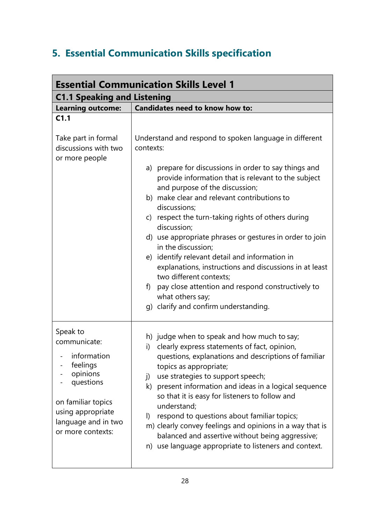# **5. Essential Communication Skills specification**

| <b>Essential Communication Skills Level 1</b>                  |                                                                                                                                                |  |  |  |
|----------------------------------------------------------------|------------------------------------------------------------------------------------------------------------------------------------------------|--|--|--|
| <b>C1.1 Speaking and Listening</b>                             |                                                                                                                                                |  |  |  |
| <b>Learning outcome:</b>                                       | Candidates need to know how to:                                                                                                                |  |  |  |
| C <sub>1.1</sub>                                               |                                                                                                                                                |  |  |  |
| Take part in formal<br>discussions with two<br>or more people  | Understand and respond to spoken language in different<br>contexts:                                                                            |  |  |  |
|                                                                | a) prepare for discussions in order to say things and<br>provide information that is relevant to the subject<br>and purpose of the discussion; |  |  |  |
|                                                                | b) make clear and relevant contributions to<br>discussions;                                                                                    |  |  |  |
|                                                                | c) respect the turn-taking rights of others during<br>discussion;                                                                              |  |  |  |
|                                                                | d) use appropriate phrases or gestures in order to join<br>in the discussion;                                                                  |  |  |  |
|                                                                | e) identify relevant detail and information in<br>explanations, instructions and discussions in at least<br>two different contexts;            |  |  |  |
|                                                                | pay close attention and respond constructively to<br>f)<br>what others say;<br>g) clarify and confirm understanding.                           |  |  |  |
|                                                                |                                                                                                                                                |  |  |  |
| Speak to<br>communicate:                                       | h) judge when to speak and how much to say;<br>clearly express statements of fact, opinion,<br>i)                                              |  |  |  |
| information<br>feelings<br>opinions                            | questions, explanations and descriptions of familiar<br>topics as appropriate;<br>use strategies to support speech;<br>j)                      |  |  |  |
| questions                                                      | k) present information and ideas in a logical sequence<br>so that it is easy for listeners to follow and                                       |  |  |  |
| on familiar topics<br>using appropriate<br>language and in two | understand;<br>respond to questions about familiar topics;<br>$\vert$<br>m) clearly convey feelings and opinions in a way that is              |  |  |  |
| or more contexts:                                              | balanced and assertive without being aggressive;<br>n) use language appropriate to listeners and context.                                      |  |  |  |
|                                                                |                                                                                                                                                |  |  |  |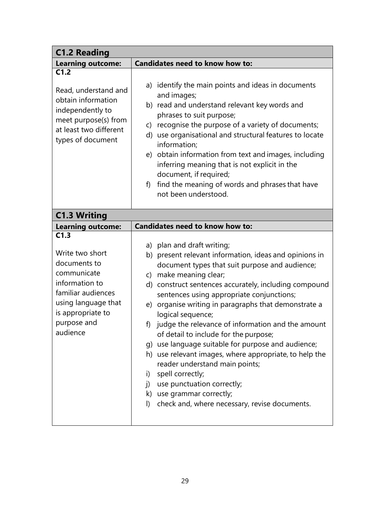| <b>C1.2 Reading</b>                                                                                                                                                   |                                                                                                                                                                                                                                                                                                                                                                                                                                                                                                                                                                                                                                                                                                                                                                                                |
|-----------------------------------------------------------------------------------------------------------------------------------------------------------------------|------------------------------------------------------------------------------------------------------------------------------------------------------------------------------------------------------------------------------------------------------------------------------------------------------------------------------------------------------------------------------------------------------------------------------------------------------------------------------------------------------------------------------------------------------------------------------------------------------------------------------------------------------------------------------------------------------------------------------------------------------------------------------------------------|
| <b>Learning outcome:</b>                                                                                                                                              | <b>Candidates need to know how to:</b>                                                                                                                                                                                                                                                                                                                                                                                                                                                                                                                                                                                                                                                                                                                                                         |
| C1.2<br>Read, understand and<br>obtain information<br>independently to<br>meet purpose(s) from<br>at least two different<br>types of document                         | a) identify the main points and ideas in documents<br>and images;<br>b) read and understand relevant key words and<br>phrases to suit purpose;<br>c) recognise the purpose of a variety of documents;<br>d) use organisational and structural features to locate<br>information;<br>e) obtain information from text and images, including<br>inferring meaning that is not explicit in the<br>document, if required;                                                                                                                                                                                                                                                                                                                                                                           |
|                                                                                                                                                                       | find the meaning of words and phrases that have<br>f)<br>not been understood.                                                                                                                                                                                                                                                                                                                                                                                                                                                                                                                                                                                                                                                                                                                  |
| <b>C1.3 Writing</b>                                                                                                                                                   |                                                                                                                                                                                                                                                                                                                                                                                                                                                                                                                                                                                                                                                                                                                                                                                                |
| <b>Learning outcome:</b>                                                                                                                                              | <b>Candidates need to know how to:</b>                                                                                                                                                                                                                                                                                                                                                                                                                                                                                                                                                                                                                                                                                                                                                         |
| C1.3<br>Write two short<br>documents to<br>communicate<br>information to<br>familiar audiences<br>using language that<br>is appropriate to<br>purpose and<br>audience | a) plan and draft writing;<br>b) present relevant information, ideas and opinions in<br>document types that suit purpose and audience;<br>make meaning clear;<br>$\mathsf{C}$<br>d) construct sentences accurately, including compound<br>sentences using appropriate conjunctions;<br>organise writing in paragraphs that demonstrate a<br>e)<br>logical sequence;<br>f) judge the relevance of information and the amount<br>of detail to include for the purpose;<br>g) use language suitable for purpose and audience;<br>h) use relevant images, where appropriate, to help the<br>reader understand main points;<br>spell correctly;<br>i)<br>use punctuation correctly;<br>$\overline{D}$<br>k) use grammar correctly;<br>check and, where necessary, revise documents.<br>$\mathsf{I}$ |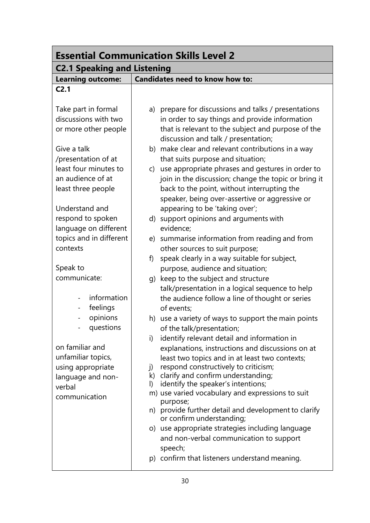| <b>Essential Communication Skills Level 2</b>                                                              |                                                                                                                                                                                                                                                                                                                                                                                                                                                                                                                                                                                                                 |  |  |
|------------------------------------------------------------------------------------------------------------|-----------------------------------------------------------------------------------------------------------------------------------------------------------------------------------------------------------------------------------------------------------------------------------------------------------------------------------------------------------------------------------------------------------------------------------------------------------------------------------------------------------------------------------------------------------------------------------------------------------------|--|--|
| <b>C2.1 Speaking and Listening</b>                                                                         |                                                                                                                                                                                                                                                                                                                                                                                                                                                                                                                                                                                                                 |  |  |
| <b>Learning outcome:</b>                                                                                   | Candidates need to know how to:                                                                                                                                                                                                                                                                                                                                                                                                                                                                                                                                                                                 |  |  |
| C <sub>2.1</sub>                                                                                           |                                                                                                                                                                                                                                                                                                                                                                                                                                                                                                                                                                                                                 |  |  |
| Take part in formal<br>discussions with two<br>or more other people                                        | prepare for discussions and talks / presentations<br>a)<br>in order to say things and provide information<br>that is relevant to the subject and purpose of the<br>discussion and talk / presentation;                                                                                                                                                                                                                                                                                                                                                                                                          |  |  |
| Give a talk<br>/presentation of at                                                                         | b) make clear and relevant contributions in a way<br>that suits purpose and situation;                                                                                                                                                                                                                                                                                                                                                                                                                                                                                                                          |  |  |
| least four minutes to<br>an audience of at<br>least three people<br>Understand and                         | use appropriate phrases and gestures in order to<br>$\mathsf{C}$<br>join in the discussion; change the topic or bring it<br>back to the point, without interrupting the<br>speaker, being over-assertive or aggressive or<br>appearing to be 'taking over';                                                                                                                                                                                                                                                                                                                                                     |  |  |
| respond to spoken<br>language on different                                                                 | d) support opinions and arguments with<br>evidence;                                                                                                                                                                                                                                                                                                                                                                                                                                                                                                                                                             |  |  |
| topics and in different<br>contexts                                                                        | summarise information from reading and from<br>e)<br>other sources to suit purpose;                                                                                                                                                                                                                                                                                                                                                                                                                                                                                                                             |  |  |
| Speak to                                                                                                   | speak clearly in a way suitable for subject,<br>f<br>purpose, audience and situation;                                                                                                                                                                                                                                                                                                                                                                                                                                                                                                                           |  |  |
| communicate:<br>information<br>feelings<br>$\overline{\phantom{0}}$                                        | keep to the subject and structure<br>q)<br>talk/presentation in a logical sequence to help<br>the audience follow a line of thought or series<br>of events;                                                                                                                                                                                                                                                                                                                                                                                                                                                     |  |  |
| opinions<br>$\overline{\phantom{0}}$<br>questions                                                          | h) use a variety of ways to support the main points<br>of the talk/presentation;                                                                                                                                                                                                                                                                                                                                                                                                                                                                                                                                |  |  |
| on familiar and<br>unfamiliar topics,<br>using appropriate<br>language and non-<br>verbal<br>communication | identify relevant detail and information in<br>i)<br>explanations, instructions and discussions on at<br>least two topics and in at least two contexts;<br>respond constructively to criticism;<br>j)<br>k) clarify and confirm understanding;<br>identify the speaker's intentions;<br>$\vert$<br>m) use varied vocabulary and expressions to suit<br>purpose;<br>n) provide further detail and development to clarify<br>or confirm understanding;<br>o) use appropriate strategies including language<br>and non-verbal communication to support<br>speech;<br>p) confirm that listeners understand meaning. |  |  |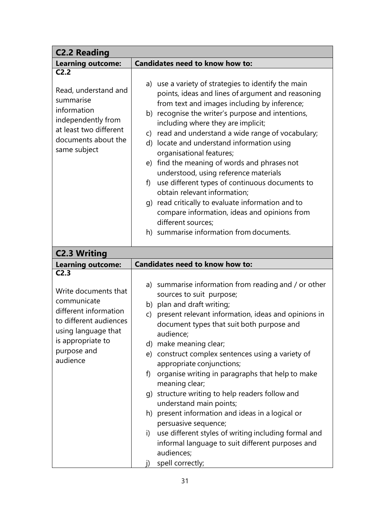| <b>C2.2 Reading</b>                                                                                                                                           |                                                                                                                                                                                                                                                                                                                                                                                                                                                                                                                                                                                                                                                                                                                                                        |
|---------------------------------------------------------------------------------------------------------------------------------------------------------------|--------------------------------------------------------------------------------------------------------------------------------------------------------------------------------------------------------------------------------------------------------------------------------------------------------------------------------------------------------------------------------------------------------------------------------------------------------------------------------------------------------------------------------------------------------------------------------------------------------------------------------------------------------------------------------------------------------------------------------------------------------|
| <b>Learning outcome:</b>                                                                                                                                      | <b>Candidates need to know how to:</b>                                                                                                                                                                                                                                                                                                                                                                                                                                                                                                                                                                                                                                                                                                                 |
| C <sub>2.2</sub>                                                                                                                                              |                                                                                                                                                                                                                                                                                                                                                                                                                                                                                                                                                                                                                                                                                                                                                        |
| Read, understand and<br>summarise<br>information<br>independently from<br>at least two different<br>documents about the<br>same subject                       | a) use a variety of strategies to identify the main<br>points, ideas and lines of argument and reasoning<br>from text and images including by inference;<br>b) recognise the writer's purpose and intentions,<br>including where they are implicit;<br>read and understand a wide range of vocabulary;<br>C)<br>d) locate and understand information using<br>organisational features;<br>find the meaning of words and phrases not<br>e)<br>understood, using reference materials<br>use different types of continuous documents to<br>f)<br>obtain relevant information;<br>g) read critically to evaluate information and to<br>compare information, ideas and opinions from<br>different sources;<br>h) summarise information from documents.      |
| <b>C2.3 Writing</b>                                                                                                                                           |                                                                                                                                                                                                                                                                                                                                                                                                                                                                                                                                                                                                                                                                                                                                                        |
| <b>Learning outcome:</b>                                                                                                                                      | Candidates need to know how to:                                                                                                                                                                                                                                                                                                                                                                                                                                                                                                                                                                                                                                                                                                                        |
| C <sub>2.3</sub>                                                                                                                                              |                                                                                                                                                                                                                                                                                                                                                                                                                                                                                                                                                                                                                                                                                                                                                        |
| Write documents that<br>communicate<br>different information<br>to different audiences<br>using language that<br>is appropriate to<br>purpose and<br>audience | a) summarise information from reading and / or other<br>sources to suit purpose;<br>b) plan and draft writing;<br>present relevant information, ideas and opinions in<br>$\mathsf{C}$<br>document types that suit both purpose and<br>audience;<br>d) make meaning clear;<br>e) construct complex sentences using a variety of<br>appropriate conjunctions;<br>organise writing in paragraphs that help to make<br>f).<br>meaning clear;<br>g) structure writing to help readers follow and<br>understand main points;<br>h) present information and ideas in a logical or<br>persuasive sequence;<br>use different styles of writing including formal and<br>i)<br>informal language to suit different purposes and<br>audiences;<br>spell correctly; |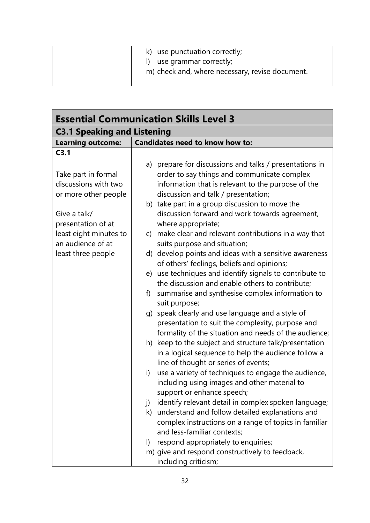| k) use punctuation correctly;                   |
|-------------------------------------------------|
| I) use grammar correctly;                       |
| m) check and, where necessary, revise document. |
|                                                 |

| <b>Essential Communication Skills Level 3</b> |                                                            |  |  |  |  |
|-----------------------------------------------|------------------------------------------------------------|--|--|--|--|
| <b>C3.1 Speaking and Listening</b>            |                                                            |  |  |  |  |
| <b>Learning outcome:</b>                      | Candidates need to know how to:                            |  |  |  |  |
| C3.1                                          |                                                            |  |  |  |  |
|                                               | a) prepare for discussions and talks / presentations in    |  |  |  |  |
| Take part in formal                           | order to say things and communicate complex                |  |  |  |  |
| discussions with two                          | information that is relevant to the purpose of the         |  |  |  |  |
| or more other people                          | discussion and talk / presentation;                        |  |  |  |  |
|                                               | b) take part in a group discussion to move the             |  |  |  |  |
| Give a talk/                                  | discussion forward and work towards agreement,             |  |  |  |  |
| presentation of at                            | where appropriate;                                         |  |  |  |  |
| least eight minutes to                        | make clear and relevant contributions in a way that<br>C)  |  |  |  |  |
| an audience of at                             | suits purpose and situation;                               |  |  |  |  |
| least three people                            | d) develop points and ideas with a sensitive awareness     |  |  |  |  |
|                                               | of others' feelings, beliefs and opinions;                 |  |  |  |  |
|                                               | e) use techniques and identify signals to contribute to    |  |  |  |  |
|                                               | the discussion and enable others to contribute;            |  |  |  |  |
|                                               | summarise and synthesise complex information to<br>f)      |  |  |  |  |
|                                               | suit purpose;                                              |  |  |  |  |
|                                               | g) speak clearly and use language and a style of           |  |  |  |  |
|                                               | presentation to suit the complexity, purpose and           |  |  |  |  |
|                                               | formality of the situation and needs of the audience;      |  |  |  |  |
|                                               | h) keep to the subject and structure talk/presentation     |  |  |  |  |
|                                               | in a logical sequence to help the audience follow a        |  |  |  |  |
|                                               | line of thought or series of events;                       |  |  |  |  |
|                                               | use a variety of techniques to engage the audience,<br>i)  |  |  |  |  |
|                                               | including using images and other material to               |  |  |  |  |
|                                               | support or enhance speech;                                 |  |  |  |  |
|                                               | identify relevant detail in complex spoken language;<br>j) |  |  |  |  |
|                                               | k) understand and follow detailed explanations and         |  |  |  |  |
|                                               | complex instructions on a range of topics in familiar      |  |  |  |  |
|                                               | and less-familiar contexts;                                |  |  |  |  |
|                                               | respond appropriately to enquiries;<br>I)                  |  |  |  |  |
|                                               | m) give and respond constructively to feedback,            |  |  |  |  |
|                                               | including criticism;                                       |  |  |  |  |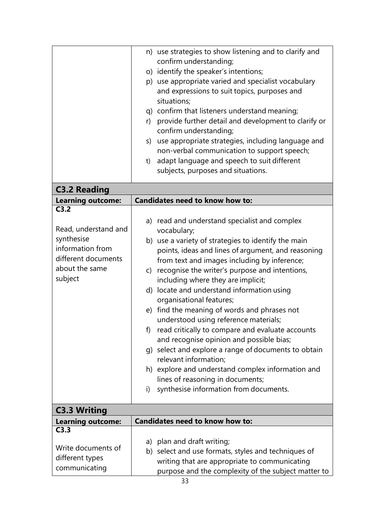|                          |    | n) use strategies to show listening and to clarify and |
|--------------------------|----|--------------------------------------------------------|
|                          |    | confirm understanding;                                 |
|                          |    | o) identify the speaker's intentions;                  |
|                          |    | p) use appropriate varied and specialist vocabulary    |
|                          |    | and expressions to suit topics, purposes and           |
|                          |    | situations;                                            |
|                          |    | q) confirm that listeners understand meaning;          |
|                          | r) | provide further detail and development to clarify or   |
|                          |    | confirm understanding;                                 |
|                          |    | s) use appropriate strategies, including language and  |
|                          |    | non-verbal communication to support speech;            |
|                          | t) | adapt language and speech to suit different            |
|                          |    | subjects, purposes and situations.                     |
| <b>C3.2 Reading</b>      |    |                                                        |
| <b>Learning outcome:</b> |    | Candidates need to know how to:                        |
| C3.2                     |    |                                                        |
|                          |    | a) read and understand specialist and complex          |
| Read, understand and     |    | vocabulary;                                            |
| synthesise               |    | b) use a variety of strategies to identify the main    |
| information from         |    | points, ideas and lines of argument, and reasoning     |
| different documents      |    | from text and images including by inference;           |
| about the same           | C) | recognise the writer's purpose and intentions,         |
| subject                  |    | including where they are implicit;                     |
|                          |    | d) locate and understand information using             |
|                          |    | organisational features;                               |
|                          |    | e) find the meaning of words and phrases not           |
|                          |    | understood using reference materials;                  |
|                          | f) | read critically to compare and evaluate accounts       |
|                          |    | and recognise opinion and possible bias;               |
|                          |    | g) select and explore a range of documents to obtain   |
|                          |    | relevant information;                                  |
|                          |    | h) explore and understand complex information and      |
|                          |    | lines of reasoning in documents;                       |
|                          | i) | synthesise information from documents.                 |
|                          |    |                                                        |
| <b>C3.3 Writing</b>      |    |                                                        |
| <b>Learning outcome:</b> |    | <b>Candidates need to know how to:</b>                 |
| C3.3                     |    |                                                        |
| Write documents of       |    | a) plan and draft writing;                             |
| different types          |    | b) select and use formats, styles and techniques of    |
| communicating            |    | writing that are appropriate to communicating          |
|                          |    | purpose and the complexity of the subject matter to    |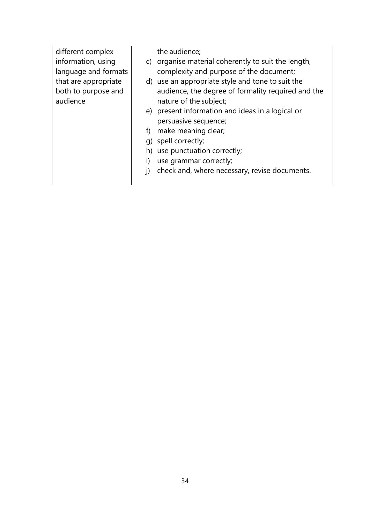| different complex    |    | the audience;                                       |
|----------------------|----|-----------------------------------------------------|
| information, using   |    | c) organise material coherently to suit the length, |
| language and formats |    | complexity and purpose of the document;             |
| that are appropriate |    | d) use an appropriate style and tone to suit the    |
| both to purpose and  |    | audience, the degree of formality required and the  |
| audience             |    | nature of the subject;                              |
|                      |    | e) present information and ideas in a logical or    |
|                      |    | persuasive sequence;                                |
|                      | f) | make meaning clear;                                 |
|                      |    | q) spell correctly;                                 |
|                      |    | h) use punctuation correctly;                       |
|                      | i) | use grammar correctly;                              |
|                      |    | check and, where necessary, revise documents.       |
|                      |    |                                                     |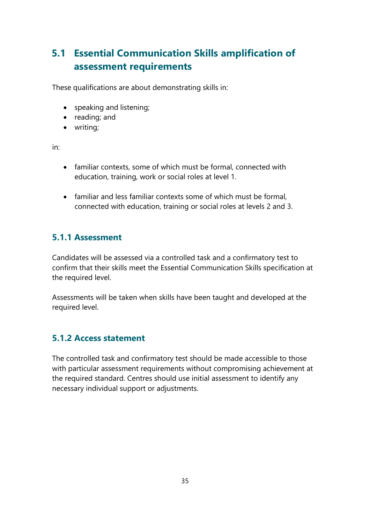# **5.1 Essential Communication Skills amplification of assessment requirements**

These qualifications are about demonstrating skills in:

- speaking and listening;
- reading; and
- writing;

in:

- familiar contexts, some of which must be formal, connected with education, training, work or social roles at level 1.
- familiar and less familiar contexts some of which must be formal, connected with education, training or social roles at levels 2 and 3.

## **5.1.1 Assessment**

Candidates will be assessed via a controlled task and a confirmatory test to confirm that their skills meet the Essential Communication Skills specification at the required level.

Assessments will be taken when skills have been taught and developed at the required level.

## **5.1.2 Access statement**

The controlled task and confirmatory test should be made accessible to those with particular assessment requirements without compromising achievement at the required standard. Centres should use initial assessment to identify any necessary individual support or adjustments.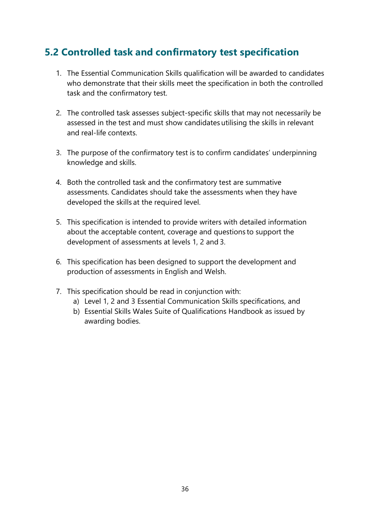## **5.2 Controlled task and confirmatory test specification**

- 1. The Essential Communication Skills qualification will be awarded to candidates who demonstrate that their skills meet the specification in both the controlled task and the confirmatory test.
- 2. The controlled task assesses subject-specific skills that may not necessarily be assessed in the test and must show candidates utilising the skills in relevant and real-life contexts.
- 3. The purpose of the confirmatory test is to confirm candidates' underpinning knowledge and skills.
- 4. Both the controlled task and the confirmatory test are summative assessments. Candidates should take the assessments when they have developed the skills at the required level.
- 5. This specification is intended to provide writers with detailed information about the acceptable content, coverage and questions to support the development of assessments at levels 1, 2 and 3.
- 6. This specification has been designed to support the development and production of assessments in English and Welsh.
- 7. This specification should be read in conjunction with:
	- a) Level 1, 2 and 3 Essential Communication Skills specifications, and
	- b) Essential Skills Wales Suite of Qualifications Handbook as issued by awarding bodies.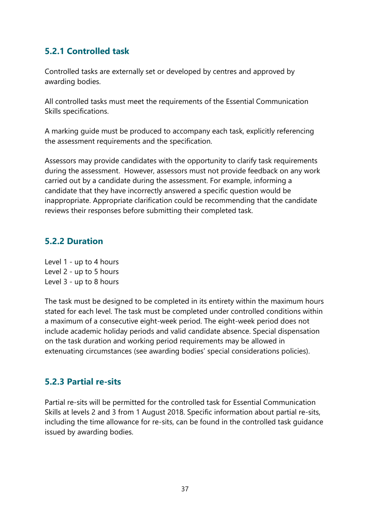## **5.2.1 Controlled task**

Controlled tasks are externally set or developed by centres and approved by awarding bodies.

All controlled tasks must meet the requirements of the Essential Communication Skills specifications.

A marking guide must be produced to accompany each task, explicitly referencing the assessment requirements and the specification.

Assessors may provide candidates with the opportunity to clarify task requirements during the assessment. However, assessors must not provide feedback on any work carried out by a candidate during the assessment. For example, informing a candidate that they have incorrectly answered a specific question would be inappropriate. Appropriate clarification could be recommending that the candidate reviews their responses before submitting their completed task.

### **5.2.2 Duration**

Level 1 - up to 4 hours Level 2 - up to 5 hours Level 3 - up to 8 hours

The task must be designed to be completed in its entirety within the maximum hours stated for each level. The task must be completed under controlled conditions within a maximum of a consecutive eight-week period. The eight-week period does not include academic holiday periods and valid candidate absence. Special dispensation on the task duration and working period requirements may be allowed in extenuating circumstances (see awarding bodies' special considerations policies).

### **5.2.3 Partial re-sits**

Partial re-sits will be permitted for the controlled task for Essential Communication Skills at levels 2 and 3 from 1 August 2018. Specific information about partial re-sits, including the time allowance for re-sits, can be found in the controlled task guidance issued by awarding bodies.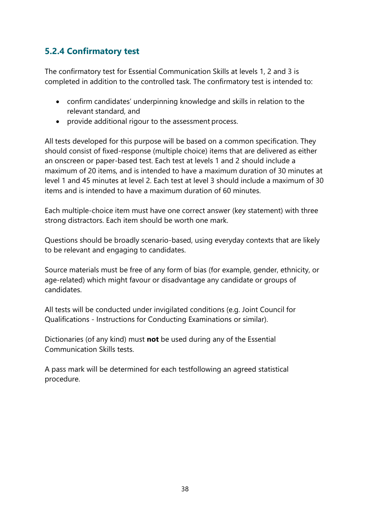## **5.2.4 Confirmatory test**

The confirmatory test for Essential Communication Skills at levels 1, 2 and 3 is completed in addition to the controlled task. The confirmatory test is intended to:

- confirm candidates' underpinning knowledge and skills in relation to the relevant standard, and
- provide additional rigour to the assessment process.

All tests developed for this purpose will be based on a common specification. They should consist of fixed-response (multiple choice) items that are delivered as either an onscreen or paper-based test. Each test at levels 1 and 2 should include a maximum of 20 items, and is intended to have a maximum duration of 30 minutes at level 1 and 45 minutes at level 2. Each test at level 3 should include a maximum of 30 items and is intended to have a maximum duration of 60 minutes.

Each multiple-choice item must have one correct answer (key statement) with three strong distractors. Each item should be worth one mark.

Questions should be broadly scenario-based, using everyday contexts that are likely to be relevant and engaging to candidates.

Source materials must be free of any form of bias (for example, gender, ethnicity, or age-related) which might favour or disadvantage any candidate or groups of candidates.

All tests will be conducted under invigilated conditions (e.g. Joint Council for Qualifications - Instructions for Conducting Examinations or similar).

Dictionaries (of any kind) must **not** be used during any of the Essential Communication Skills tests.

A pass mark will be determined for each testfollowing an agreed statistical procedure.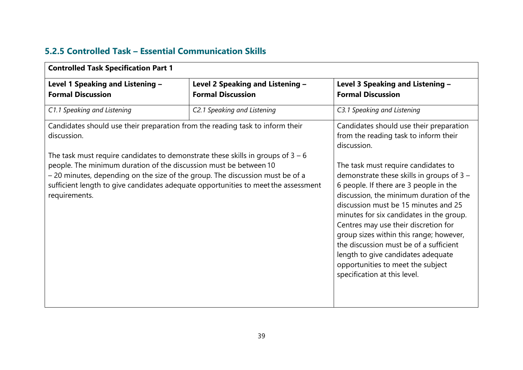| C1.1 Speaking and Listening<br>C2.1 Speaking and Listening<br>C3.1 Speaking and Listening<br>discussion.<br>The task must require candidates to<br>demonstrate these skills in groups of 3 -<br>6 people. If there are 3 people in the<br>the discussion must be of a sufficient<br>length to give candidates adequate<br>opportunities to meet the subject<br>specification at this level.                                                    | Level 3 Speaking and Listening -<br><b>Formal Discussion</b> | Level 2 Speaking and Listening -<br><b>Formal Discussion</b> | Level 1 Speaking and Listening -<br><b>Formal Discussion</b> |
|------------------------------------------------------------------------------------------------------------------------------------------------------------------------------------------------------------------------------------------------------------------------------------------------------------------------------------------------------------------------------------------------------------------------------------------------|--------------------------------------------------------------|--------------------------------------------------------------|--------------------------------------------------------------|
| Candidates should use their preparation from the reading task to inform their<br>discussion.<br>The task must require candidates to demonstrate these skills in groups of $3 - 6$<br>people. The minimum duration of the discussion must be between 10<br>- 20 minutes, depending on the size of the group. The discussion must be of a<br>sufficient length to give candidates adequate opportunities to meet the assessment<br>requirements. |                                                              |                                                              |                                                              |
|                                                                                                                                                                                                                                                                                                                                                                                                                                                |                                                              |                                                              |                                                              |
|                                                                                                                                                                                                                                                                                                                                                                                                                                                | Candidates should use their preparation                      |                                                              |                                                              |
|                                                                                                                                                                                                                                                                                                                                                                                                                                                | from the reading task to inform their                        |                                                              |                                                              |
|                                                                                                                                                                                                                                                                                                                                                                                                                                                |                                                              |                                                              |                                                              |
|                                                                                                                                                                                                                                                                                                                                                                                                                                                |                                                              |                                                              |                                                              |
|                                                                                                                                                                                                                                                                                                                                                                                                                                                |                                                              |                                                              |                                                              |
|                                                                                                                                                                                                                                                                                                                                                                                                                                                |                                                              |                                                              |                                                              |
|                                                                                                                                                                                                                                                                                                                                                                                                                                                | discussion, the minimum duration of the                      |                                                              |                                                              |
|                                                                                                                                                                                                                                                                                                                                                                                                                                                | discussion must be 15 minutes and 25                         |                                                              |                                                              |
|                                                                                                                                                                                                                                                                                                                                                                                                                                                | minutes for six candidates in the group.                     |                                                              |                                                              |
|                                                                                                                                                                                                                                                                                                                                                                                                                                                | Centres may use their discretion for                         |                                                              |                                                              |
|                                                                                                                                                                                                                                                                                                                                                                                                                                                | group sizes within this range; however,                      |                                                              |                                                              |
|                                                                                                                                                                                                                                                                                                                                                                                                                                                |                                                              |                                                              |                                                              |
|                                                                                                                                                                                                                                                                                                                                                                                                                                                |                                                              |                                                              |                                                              |
|                                                                                                                                                                                                                                                                                                                                                                                                                                                |                                                              |                                                              |                                                              |
|                                                                                                                                                                                                                                                                                                                                                                                                                                                |                                                              |                                                              |                                                              |
|                                                                                                                                                                                                                                                                                                                                                                                                                                                |                                                              |                                                              |                                                              |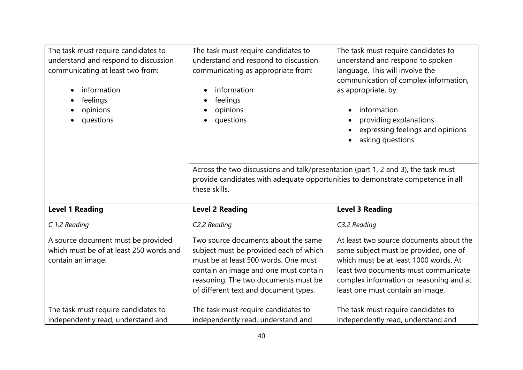| The task must require candidates to<br>understand and respond to discussion<br>communicating at least two from:<br>information<br>feelings<br>opinions<br>questions | The task must require candidates to<br>understand and respond to discussion<br>communicating as appropriate from:<br>information<br>feelings<br>opinions<br>questions<br>Across the two discussions and talk/presentation (part 1, 2 and 3), the task must<br>provide candidates with adequate opportunities to demonstrate competence in all | The task must require candidates to<br>understand and respond to spoken<br>language. This will involve the<br>communication of complex information,<br>as appropriate, by:<br>information<br>providing explanations<br>$\bullet$<br>expressing feelings and opinions<br>asking questions |
|---------------------------------------------------------------------------------------------------------------------------------------------------------------------|-----------------------------------------------------------------------------------------------------------------------------------------------------------------------------------------------------------------------------------------------------------------------------------------------------------------------------------------------|------------------------------------------------------------------------------------------------------------------------------------------------------------------------------------------------------------------------------------------------------------------------------------------|
|                                                                                                                                                                     | these skills.                                                                                                                                                                                                                                                                                                                                 |                                                                                                                                                                                                                                                                                          |
| <b>Level 1 Reading</b>                                                                                                                                              | <b>Level 2 Reading</b>                                                                                                                                                                                                                                                                                                                        | <b>Level 3 Reading</b>                                                                                                                                                                                                                                                                   |
| C.1.2 Reading                                                                                                                                                       | C2.2 Reading                                                                                                                                                                                                                                                                                                                                  | C3.2 Reading                                                                                                                                                                                                                                                                             |
| A source document must be provided<br>which must be of at least 250 words and<br>contain an image.                                                                  | Two source documents about the same<br>subject must be provided each of which<br>must be at least 500 words. One must<br>contain an image and one must contain<br>reasoning. The two documents must be<br>of different text and document types.                                                                                               | At least two source documents about the<br>same subject must be provided, one of<br>which must be at least 1000 words. At<br>least two documents must communicate<br>complex information or reasoning and at<br>least one must contain an image.                                         |
| The task must require candidates to<br>independently read, understand and                                                                                           | The task must require candidates to<br>independently read, understand and                                                                                                                                                                                                                                                                     | The task must require candidates to<br>independently read, understand and                                                                                                                                                                                                                |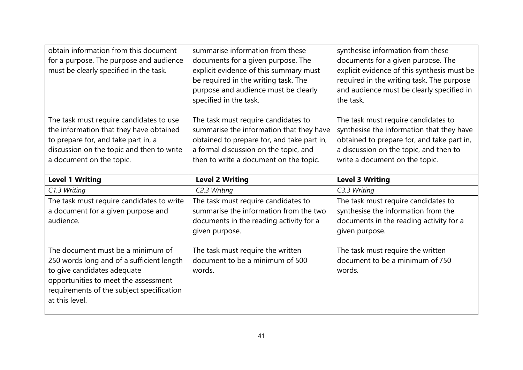| obtain information from this document<br>for a purpose. The purpose and audience<br>must be clearly specified in the task.                                                                         | summarise information from these<br>documents for a given purpose. The<br>explicit evidence of this summary must<br>be required in the writing task. The<br>purpose and audience must be clearly<br>specified in the task. | synthesise information from these<br>documents for a given purpose. The<br>explicit evidence of this synthesis must be<br>required in the writing task. The purpose<br>and audience must be clearly specified in<br>the task. |
|----------------------------------------------------------------------------------------------------------------------------------------------------------------------------------------------------|----------------------------------------------------------------------------------------------------------------------------------------------------------------------------------------------------------------------------|-------------------------------------------------------------------------------------------------------------------------------------------------------------------------------------------------------------------------------|
| The task must require candidates to use<br>the information that they have obtained<br>to prepare for, and take part in, a<br>discussion on the topic and then to write<br>a document on the topic. | The task must require candidates to<br>summarise the information that they have<br>obtained to prepare for, and take part in,<br>a formal discussion on the topic, and<br>then to write a document on the topic.           | The task must require candidates to<br>synthesise the information that they have<br>obtained to prepare for, and take part in,<br>a discussion on the topic, and then to<br>write a document on the topic.                    |
| <b>Level 1 Writing</b>                                                                                                                                                                             | <b>Level 2 Writing</b>                                                                                                                                                                                                     | <b>Level 3 Writing</b>                                                                                                                                                                                                        |
| C1.3 Writing                                                                                                                                                                                       | C2.3 Writing                                                                                                                                                                                                               | C3.3 Writing                                                                                                                                                                                                                  |
| The task must require candidates to write<br>a document for a given purpose and<br>audience.                                                                                                       | The task must require candidates to<br>summarise the information from the two<br>documents in the reading activity for a<br>given purpose.                                                                                 | The task must require candidates to<br>synthesise the information from the<br>documents in the reading activity for a<br>given purpose.                                                                                       |
| The document must be a minimum of<br>250 words long and of a sufficient length<br>to give candidates adequate<br>opportunities to meet the assessment<br>requirements of the subject specification | The task must require the written<br>document to be a minimum of 500<br>words.                                                                                                                                             | The task must require the written<br>document to be a minimum of 750<br>words.                                                                                                                                                |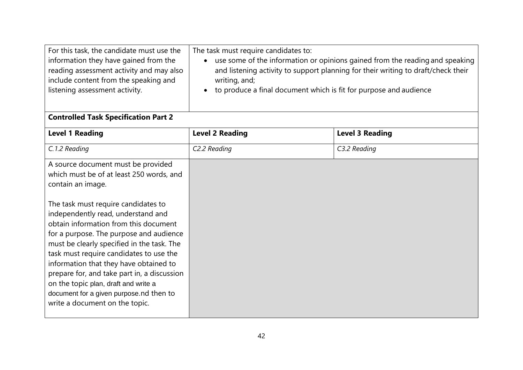| For this task, the candidate must use the<br>information they have gained from the<br>reading assessment activity and may also<br>include content from the speaking and<br>listening assessment activity.                                                                                                                                                                                                                                                                                                                                                                   | The task must require candidates to:<br>use some of the information or opinions gained from the reading and speaking<br>and listening activity to support planning for their writing to draft/check their<br>writing, and;<br>to produce a final document which is fit for purpose and audience |                        |
|-----------------------------------------------------------------------------------------------------------------------------------------------------------------------------------------------------------------------------------------------------------------------------------------------------------------------------------------------------------------------------------------------------------------------------------------------------------------------------------------------------------------------------------------------------------------------------|-------------------------------------------------------------------------------------------------------------------------------------------------------------------------------------------------------------------------------------------------------------------------------------------------|------------------------|
| <b>Controlled Task Specification Part 2</b>                                                                                                                                                                                                                                                                                                                                                                                                                                                                                                                                 |                                                                                                                                                                                                                                                                                                 |                        |
| <b>Level 1 Reading</b>                                                                                                                                                                                                                                                                                                                                                                                                                                                                                                                                                      | <b>Level 2 Reading</b>                                                                                                                                                                                                                                                                          | <b>Level 3 Reading</b> |
| C.1.2 Reading                                                                                                                                                                                                                                                                                                                                                                                                                                                                                                                                                               | C2.2 Reading                                                                                                                                                                                                                                                                                    | C3.2 Reading           |
| A source document must be provided<br>which must be of at least 250 words, and<br>contain an image.<br>The task must require candidates to<br>independently read, understand and<br>obtain information from this document<br>for a purpose. The purpose and audience<br>must be clearly specified in the task. The<br>task must require candidates to use the<br>information that they have obtained to<br>prepare for, and take part in, a discussion<br>on the topic plan, draft and write a<br>document for a given purpose.nd then to<br>write a document on the topic. |                                                                                                                                                                                                                                                                                                 |                        |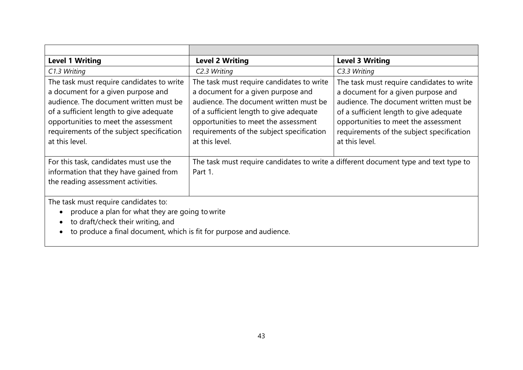| <b>Level 1 Writing</b>                                                                                                                                                                                                                                                      | <b>Level 2 Writing</b>                                                                                                                                                                                                                                                      | <b>Level 3 Writing</b>                                                                                                                                                                                                                                                      |
|-----------------------------------------------------------------------------------------------------------------------------------------------------------------------------------------------------------------------------------------------------------------------------|-----------------------------------------------------------------------------------------------------------------------------------------------------------------------------------------------------------------------------------------------------------------------------|-----------------------------------------------------------------------------------------------------------------------------------------------------------------------------------------------------------------------------------------------------------------------------|
| C1.3 Writing                                                                                                                                                                                                                                                                | C2.3 Writing                                                                                                                                                                                                                                                                | C3.3 Writing                                                                                                                                                                                                                                                                |
| The task must require candidates to write<br>a document for a given purpose and<br>audience. The document written must be<br>of a sufficient length to give adequate<br>opportunities to meet the assessment<br>requirements of the subject specification<br>at this level. | The task must require candidates to write<br>a document for a given purpose and<br>audience. The document written must be<br>of a sufficient length to give adequate<br>opportunities to meet the assessment<br>requirements of the subject specification<br>at this level. | The task must require candidates to write<br>a document for a given purpose and<br>audience. The document written must be<br>of a sufficient length to give adequate<br>opportunities to meet the assessment<br>requirements of the subject specification<br>at this level. |
| For this task, candidates must use the<br>information that they have gained from<br>the reading assessment activities.                                                                                                                                                      | The task must require candidates to write a different document type and text type to<br>Part 1.                                                                                                                                                                             |                                                                                                                                                                                                                                                                             |
| The task must require candidates to:<br>produce a plan for what they are going to write<br>to draft/check their writing, and<br>to produce a final document, which is fit for purpose and audience.                                                                         |                                                                                                                                                                                                                                                                             |                                                                                                                                                                                                                                                                             |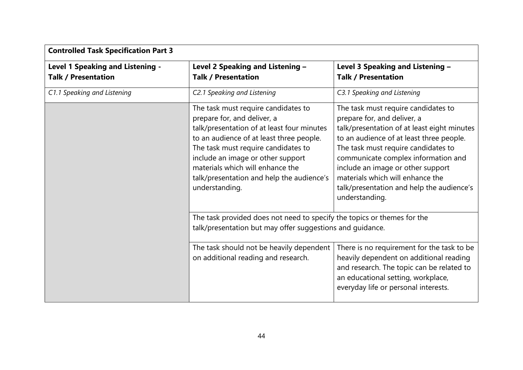| <b>Controlled Task Specification Part 3</b> |                                                                                                                                                                                                                                                                                                                                             |                                                                                                                                                                                                                                                                                                                                                                                     |  |
|---------------------------------------------|---------------------------------------------------------------------------------------------------------------------------------------------------------------------------------------------------------------------------------------------------------------------------------------------------------------------------------------------|-------------------------------------------------------------------------------------------------------------------------------------------------------------------------------------------------------------------------------------------------------------------------------------------------------------------------------------------------------------------------------------|--|
| <b>Level 1 Speaking and Listening -</b>     | Level 2 Speaking and Listening -                                                                                                                                                                                                                                                                                                            | Level 3 Speaking and Listening -                                                                                                                                                                                                                                                                                                                                                    |  |
| <b>Talk / Presentation</b>                  | <b>Talk / Presentation</b>                                                                                                                                                                                                                                                                                                                  | <b>Talk / Presentation</b>                                                                                                                                                                                                                                                                                                                                                          |  |
| C1.1 Speaking and Listening                 | C2.1 Speaking and Listening                                                                                                                                                                                                                                                                                                                 | C3.1 Speaking and Listening                                                                                                                                                                                                                                                                                                                                                         |  |
|                                             | The task must require candidates to<br>prepare for, and deliver, a<br>talk/presentation of at least four minutes<br>to an audience of at least three people.<br>The task must require candidates to<br>include an image or other support<br>materials which will enhance the<br>talk/presentation and help the audience's<br>understanding. | The task must require candidates to<br>prepare for, and deliver, a<br>talk/presentation of at least eight minutes<br>to an audience of at least three people.<br>The task must require candidates to<br>communicate complex information and<br>include an image or other support<br>materials which will enhance the<br>talk/presentation and help the audience's<br>understanding. |  |
|                                             | The task provided does not need to specify the topics or themes for the<br>talk/presentation but may offer suggestions and quidance.                                                                                                                                                                                                        |                                                                                                                                                                                                                                                                                                                                                                                     |  |
|                                             | The task should not be heavily dependent<br>on additional reading and research.                                                                                                                                                                                                                                                             | There is no requirement for the task to be<br>heavily dependent on additional reading<br>and research. The topic can be related to<br>an educational setting, workplace,<br>everyday life or personal interests.                                                                                                                                                                    |  |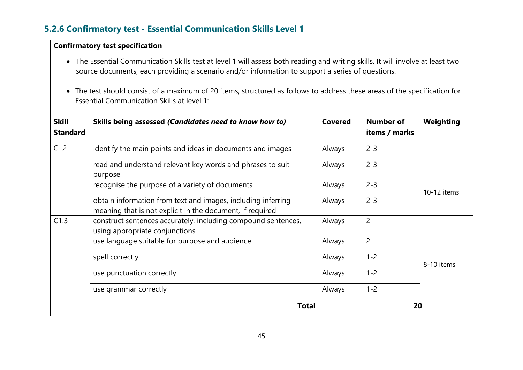## **5.2.6 Confirmatory test - Essential Communication Skills Level 1**

### **Confirmatory test specification**

- The Essential Communication Skills test at level 1 will assess both reading and writing skills. It will involve at least two source documents, each providing a scenario and/or information to support a series of questions.
- The test should consist of a maximum of 20 items, structured as follows to address these areas of the specification for Essential Communication Skills at level 1:

| <b>Skill</b><br><b>Standard</b> | Skills being assessed (Candidates need to know how to)                                                                    | <b>Covered</b> | <b>Number of</b><br>items / marks | Weighting   |
|---------------------------------|---------------------------------------------------------------------------------------------------------------------------|----------------|-----------------------------------|-------------|
| C1.2                            | identify the main points and ideas in documents and images                                                                | Always         | $2 - 3$                           |             |
|                                 | read and understand relevant key words and phrases to suit<br>purpose                                                     | Always         | $2 - 3$                           |             |
|                                 | recognise the purpose of a variety of documents                                                                           | Always         | $2 - 3$                           | 10-12 items |
|                                 | obtain information from text and images, including inferring<br>meaning that is not explicit in the document, if required | Always         | $2 - 3$                           |             |
| C1.3                            | construct sentences accurately, including compound sentences,<br>using appropriate conjunctions                           | Always         | $\overline{2}$                    |             |
|                                 | use language suitable for purpose and audience                                                                            | Always         | $\overline{2}$                    |             |
|                                 | spell correctly                                                                                                           | Always         | $1 - 2$                           | 8-10 items  |
|                                 | use punctuation correctly                                                                                                 | Always         | $1 - 2$                           |             |
|                                 | use grammar correctly                                                                                                     | Always         | $1 - 2$                           |             |
|                                 | <b>Total</b>                                                                                                              |                | 20                                |             |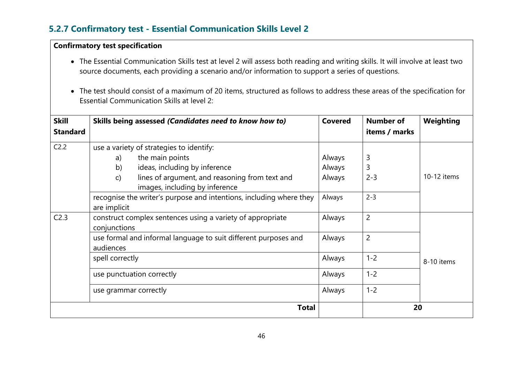## **5.2.7 Confirmatory test - Essential Communication Skills Level 2**

### **Confirmatory test specification**

- The Essential Communication Skills test at level 2 will assess both reading and writing skills. It will involve at least two source documents, each providing a scenario and/or information to support a series of questions.
- The test should consist of a maximum of 20 items, structured as follows to address these areas of the specification for Essential Communication Skills at level 2:

| <b>Skill</b><br><b>Standard</b> |                       | Skills being assessed (Candidates need to know how to)                           | <b>Covered</b> | <b>Number of</b><br>items / marks | Weighting   |
|---------------------------------|-----------------------|----------------------------------------------------------------------------------|----------------|-----------------------------------|-------------|
| C <sub>2.2</sub>                |                       | use a variety of strategies to identify:                                         |                |                                   |             |
|                                 | a)                    | the main points                                                                  | Always         | 3                                 |             |
|                                 | b)                    | ideas, including by inference                                                    | Always         | 3                                 |             |
|                                 | $\mathbf{C}$          | lines of argument, and reasoning from text and<br>images, including by inference | Always         | $2 - 3$                           | 10-12 items |
|                                 | are implicit          | recognise the writer's purpose and intentions, including where they              | Always         | $2 - 3$                           |             |
| C <sub>2.3</sub>                | conjunctions          | construct complex sentences using a variety of appropriate                       | Always         | $\overline{2}$                    |             |
|                                 | audiences             | use formal and informal language to suit different purposes and                  | Always         | $\overline{2}$                    |             |
|                                 | spell correctly       |                                                                                  | Always         | $1 - 2$                           | 8-10 items  |
|                                 |                       | use punctuation correctly                                                        | Always         | $1 - 2$                           |             |
|                                 | use grammar correctly |                                                                                  | Always         | $1 - 2$                           |             |
|                                 |                       | <b>Total</b>                                                                     |                | 20                                |             |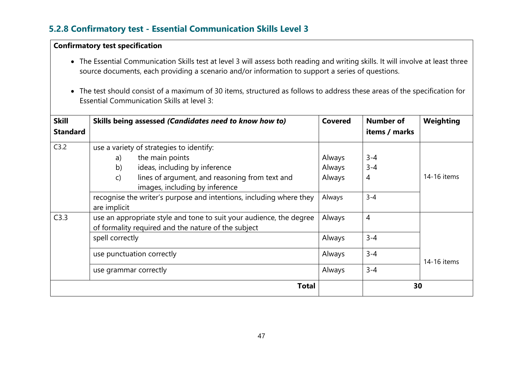## **5.2.8 Confirmatory test - Essential Communication Skills Level 3**

### **Confirmatory test specification**

- The Essential Communication Skills test at level 3 will assess both reading and writing skills. It will involve at least three source documents, each providing a scenario and/or information to support a series of questions.
- The test should consist of a maximum of 30 items, structured as follows to address these areas of the specification for Essential Communication Skills at level 3:

| <b>Skill</b><br><b>Standard</b> | Skills being assessed (Candidates need to know how to)                                                                                                                                                                                                                                              | <b>Covered</b>                       | <b>Number of</b><br>items / marks  | Weighting   |
|---------------------------------|-----------------------------------------------------------------------------------------------------------------------------------------------------------------------------------------------------------------------------------------------------------------------------------------------------|--------------------------------------|------------------------------------|-------------|
| C3.2                            | use a variety of strategies to identify:<br>the main points<br>a)<br>ideas, including by inference<br>b)<br>lines of argument, and reasoning from text and<br>$\mathsf{C}$<br>images, including by inference<br>recognise the writer's purpose and intentions, including where they<br>are implicit | Always<br>Always<br>Always<br>Always | $3 - 4$<br>$3 - 4$<br>4<br>$3 - 4$ | 14-16 items |
| C3.3                            | use an appropriate style and tone to suit your audience, the degree<br>of formality required and the nature of the subject<br>spell correctly                                                                                                                                                       | Always<br>Always                     | $\overline{4}$<br>$3 - 4$          |             |
|                                 | use punctuation correctly<br>use grammar correctly                                                                                                                                                                                                                                                  | Always<br>Always                     | $3 - 4$<br>$3 - 4$                 | 14-16 items |
|                                 | <b>Total</b>                                                                                                                                                                                                                                                                                        |                                      | 30                                 |             |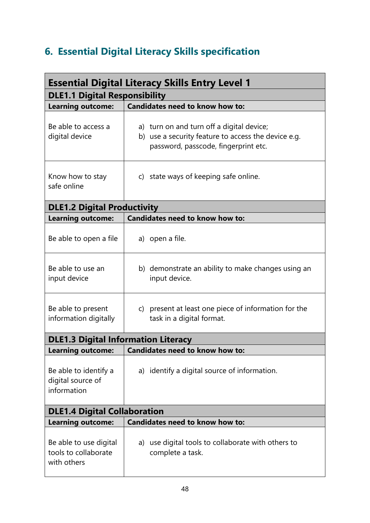# **6. Essential Digital Literacy Skills specification**

| <b>Essential Digital Literacy Skills Entry Level 1</b>        |                                                                                                                                          |  |  |  |
|---------------------------------------------------------------|------------------------------------------------------------------------------------------------------------------------------------------|--|--|--|
| <b>DLE1.1 Digital Responsibility</b>                          |                                                                                                                                          |  |  |  |
| <b>Learning outcome:</b>                                      | <b>Candidates need to know how to:</b>                                                                                                   |  |  |  |
| Be able to access a<br>digital device                         | a) turn on and turn off a digital device;<br>b) use a security feature to access the device e.g.<br>password, passcode, fingerprint etc. |  |  |  |
| Know how to stay<br>safe online                               | c) state ways of keeping safe online.                                                                                                    |  |  |  |
| <b>DLE1.2 Digital Productivity</b>                            |                                                                                                                                          |  |  |  |
| <b>Learning outcome:</b>                                      | <b>Candidates need to know how to:</b>                                                                                                   |  |  |  |
| Be able to open a file                                        | a) open a file.                                                                                                                          |  |  |  |
| Be able to use an<br>input device                             | b) demonstrate an ability to make changes using an<br>input device.                                                                      |  |  |  |
| Be able to present<br>information digitally                   | c) present at least one piece of information for the<br>task in a digital format.                                                        |  |  |  |
| <b>DLE1.3 Digital Information Literacy</b>                    |                                                                                                                                          |  |  |  |
| <b>Learning outcome:</b>                                      | <b>Candidates need to know how to:</b>                                                                                                   |  |  |  |
| Be able to identify a<br>digital source of<br>information     | a) identify a digital source of information.                                                                                             |  |  |  |
| <b>DLE1.4 Digital Collaboration</b>                           |                                                                                                                                          |  |  |  |
| <b>Learning outcome:</b>                                      | <b>Candidates need to know how to:</b>                                                                                                   |  |  |  |
| Be able to use digital<br>tools to collaborate<br>with others | use digital tools to collaborate with others to<br>a)<br>complete a task.                                                                |  |  |  |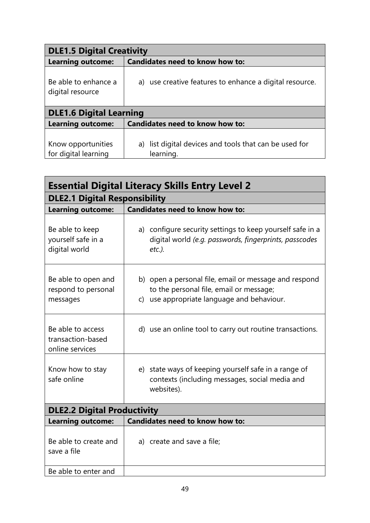| <b>DLE1.5 Digital Creativity</b>           |                                                                     |  |  |  |
|--------------------------------------------|---------------------------------------------------------------------|--|--|--|
| <b>Learning outcome:</b>                   | <b>Candidates need to know how to:</b>                              |  |  |  |
| Be able to enhance a<br>digital resource   | a) use creative features to enhance a digital resource.             |  |  |  |
| <b>DLE1.6 Digital Learning</b>             |                                                                     |  |  |  |
| Learning outcome:                          | <b>Candidates need to know how to:</b>                              |  |  |  |
| Know opportunities<br>for digital learning | a) list digital devices and tools that can be used for<br>learning. |  |  |  |

| <b>Essential Digital Literacy Skills Entry Level 2</b>    |                                                                                                                                                |
|-----------------------------------------------------------|------------------------------------------------------------------------------------------------------------------------------------------------|
| <b>DLE2.1 Digital Responsibility</b>                      |                                                                                                                                                |
| <b>Learning outcome:</b>                                  | Candidates need to know how to:                                                                                                                |
| Be able to keep<br>yourself safe in a<br>digital world    | a) configure security settings to keep yourself safe in a<br>digital world (e.g. passwords, fingerprints, passcodes<br>$etc.$ ).               |
| Be able to open and<br>respond to personal<br>messages    | b) open a personal file, email or message and respond<br>to the personal file, email or message;<br>c) use appropriate language and behaviour. |
| Be able to access<br>transaction-based<br>online services | d) use an online tool to carry out routine transactions.                                                                                       |
| Know how to stay<br>safe online                           | e) state ways of keeping yourself safe in a range of<br>contexts (including messages, social media and<br>websites).                           |
| <b>DLE2.2 Digital Productivity</b>                        |                                                                                                                                                |
| <b>Learning outcome:</b>                                  | <b>Candidates need to know how to:</b>                                                                                                         |
| Be able to create and<br>save a file                      | a) create and save a file;                                                                                                                     |
| Be able to enter and                                      |                                                                                                                                                |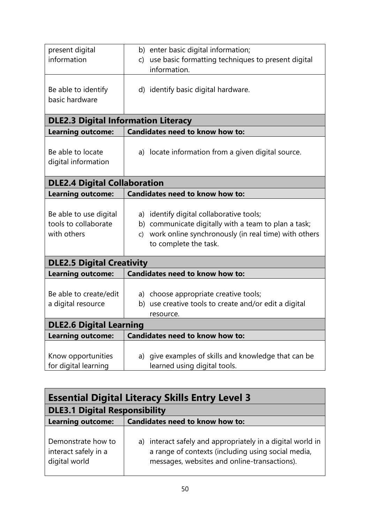| present digital<br>information                                | b) enter basic digital information;<br>use basic formatting techniques to present digital<br>C)<br>information.                                                                                   |  |
|---------------------------------------------------------------|---------------------------------------------------------------------------------------------------------------------------------------------------------------------------------------------------|--|
| Be able to identify<br>basic hardware                         | d) identify basic digital hardware.                                                                                                                                                               |  |
| <b>DLE2.3 Digital Information Literacy</b>                    |                                                                                                                                                                                                   |  |
| <b>Learning outcome:</b>                                      | Candidates need to know how to:                                                                                                                                                                   |  |
| Be able to locate<br>digital information                      | a) locate information from a given digital source.                                                                                                                                                |  |
| <b>DLE2.4 Digital Collaboration</b>                           |                                                                                                                                                                                                   |  |
| <b>Learning outcome:</b>                                      | <b>Candidates need to know how to:</b>                                                                                                                                                            |  |
| Be able to use digital<br>tools to collaborate<br>with others | a) identify digital collaborative tools;<br>b) communicate digitally with a team to plan a task;<br>work online synchronously (in real time) with others<br>$\mathsf{C}$<br>to complete the task. |  |
| <b>DLE2.5 Digital Creativity</b>                              |                                                                                                                                                                                                   |  |
| <b>Learning outcome:</b>                                      | Candidates need to know how to:                                                                                                                                                                   |  |
| Be able to create/edit<br>a digital resource                  | a) choose appropriate creative tools;<br>b) use creative tools to create and/or edit a digital<br>resource.                                                                                       |  |
| <b>DLE2.6 Digital Learning</b>                                |                                                                                                                                                                                                   |  |
| <b>Learning outcome:</b>                                      | <b>Candidates need to know how to:</b>                                                                                                                                                            |  |
| Know opportunities<br>for digital learning                    | a) give examples of skills and knowledge that can be<br>learned using digital tools.                                                                                                              |  |

| Essential Digital Literacy Skills Entry Level 3             |                                                                                                                                                                  |
|-------------------------------------------------------------|------------------------------------------------------------------------------------------------------------------------------------------------------------------|
| <b>DLE3.1 Digital Responsibility</b>                        |                                                                                                                                                                  |
| <b>Learning outcome:</b>                                    | <b>Candidates need to know how to:</b>                                                                                                                           |
| Demonstrate how to<br>interact safely in a<br>digital world | a) interact safely and appropriately in a digital world in<br>a range of contexts (including using social media,<br>messages, websites and online-transactions). |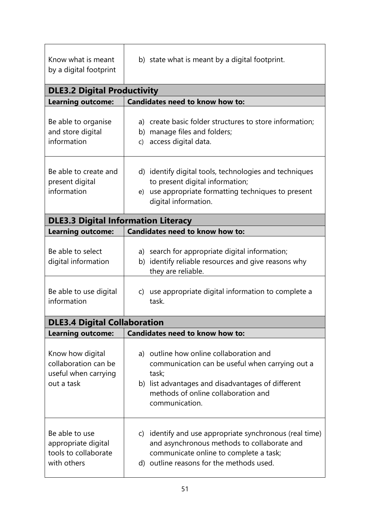| Know what is meant<br>by a digital footprint                                   | b) state what is meant by a digital footprint.                                                                                                                                                                    |  |
|--------------------------------------------------------------------------------|-------------------------------------------------------------------------------------------------------------------------------------------------------------------------------------------------------------------|--|
| <b>DLE3.2 Digital Productivity</b>                                             |                                                                                                                                                                                                                   |  |
| <b>Learning outcome:</b>                                                       | <b>Candidates need to know how to:</b>                                                                                                                                                                            |  |
| Be able to organise<br>and store digital<br>information                        | a) create basic folder structures to store information;<br>b) manage files and folders;<br>access digital data.<br>C)                                                                                             |  |
| Be able to create and<br>present digital<br>information                        | d) identify digital tools, technologies and techniques<br>to present digital information;<br>use appropriate formatting techniques to present<br>e)<br>digital information.                                       |  |
| <b>DLE3.3 Digital Information Literacy</b>                                     |                                                                                                                                                                                                                   |  |
| <b>Learning outcome:</b>                                                       | <b>Candidates need to know how to:</b>                                                                                                                                                                            |  |
| Be able to select<br>digital information                                       | a) search for appropriate digital information;<br>b) identify reliable resources and give reasons why<br>they are reliable.                                                                                       |  |
| Be able to use digital<br>information                                          | c) use appropriate digital information to complete a<br>task.                                                                                                                                                     |  |
| <b>DLE3.4 Digital Collaboration</b>                                            |                                                                                                                                                                                                                   |  |
| <b>Learning outcome:</b>                                                       | <b>Candidates need to know how to:</b>                                                                                                                                                                            |  |
| Know how digital<br>collaboration can be<br>useful when carrying<br>out a task | a) outline how online collaboration and<br>communication can be useful when carrying out a<br>task;<br>b) list advantages and disadvantages of different<br>methods of online collaboration and<br>communication. |  |
| Be able to use<br>appropriate digital<br>tools to collaborate<br>with others   | c) identify and use appropriate synchronous (real time)<br>and asynchronous methods to collaborate and<br>communicate online to complete a task;<br>d) outline reasons for the methods used.                      |  |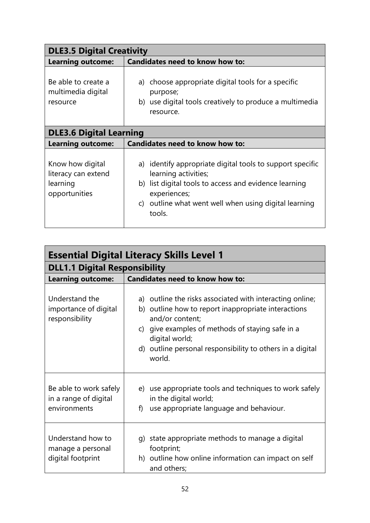| <b>DLE3.5 Digital Creativity</b>                                     |                                                                                                                                                                                                                                            |  |  |
|----------------------------------------------------------------------|--------------------------------------------------------------------------------------------------------------------------------------------------------------------------------------------------------------------------------------------|--|--|
| <b>Learning outcome:</b>                                             | <b>Candidates need to know how to:</b>                                                                                                                                                                                                     |  |  |
| Be able to create a<br>multimedia digital<br>resource                | a) choose appropriate digital tools for a specific<br>purpose;<br>b) use digital tools creatively to produce a multimedia<br>resource.                                                                                                     |  |  |
|                                                                      | <b>DLE3.6 Digital Learning</b>                                                                                                                                                                                                             |  |  |
| <b>Learning outcome:</b>                                             | <b>Candidates need to know how to:</b>                                                                                                                                                                                                     |  |  |
| Know how digital<br>literacy can extend<br>learning<br>opportunities | a) identify appropriate digital tools to support specific<br>learning activities;<br>b) list digital tools to access and evidence learning<br>experiences;<br>outline what went well when using digital learning<br>$\mathsf{C}$<br>tools. |  |  |

| <b>Essential Digital Literacy Skills Level 1</b>                |                                                                                                                                                                                                                                                                                 |
|-----------------------------------------------------------------|---------------------------------------------------------------------------------------------------------------------------------------------------------------------------------------------------------------------------------------------------------------------------------|
| <b>DLL1.1 Digital Responsibility</b>                            |                                                                                                                                                                                                                                                                                 |
| <b>Learning outcome:</b>                                        | <b>Candidates need to know how to:</b>                                                                                                                                                                                                                                          |
| Understand the<br>importance of digital<br>responsibility       | a) outline the risks associated with interacting online;<br>b) outline how to report inappropriate interactions<br>and/or content;<br>c) give examples of methods of staying safe in a<br>digital world;<br>d) outline personal responsibility to others in a digital<br>world. |
| Be able to work safely<br>in a range of digital<br>environments | e) use appropriate tools and techniques to work safely<br>in the digital world;<br>use appropriate language and behaviour.<br>f)                                                                                                                                                |
| Understand how to<br>manage a personal<br>digital footprint     | g) state appropriate methods to manage a digital<br>footprint;<br>h) outline how online information can impact on self<br>and others;                                                                                                                                           |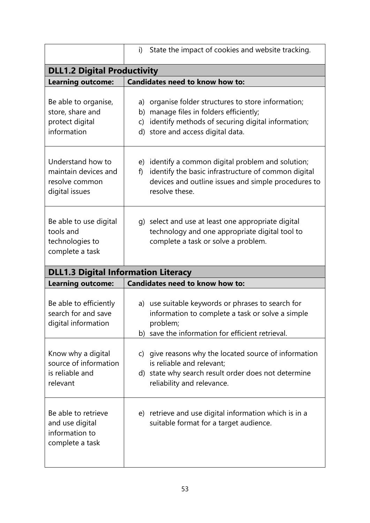|                                                                               | State the impact of cookies and website tracking.<br>i)                                                                                                                                        |
|-------------------------------------------------------------------------------|------------------------------------------------------------------------------------------------------------------------------------------------------------------------------------------------|
| <b>DLL1.2 Digital Productivity</b>                                            |                                                                                                                                                                                                |
| <b>Learning outcome:</b>                                                      | <b>Candidates need to know how to:</b>                                                                                                                                                         |
| Be able to organise,<br>store, share and<br>protect digital<br>information    | a) organise folder structures to store information;<br>b) manage files in folders efficiently;<br>identify methods of securing digital information;<br>C)<br>d) store and access digital data. |
| Understand how to<br>maintain devices and<br>resolve common<br>digital issues | e) identify a common digital problem and solution;<br>identify the basic infrastructure of common digital<br>f)<br>devices and outline issues and simple procedures to<br>resolve these.       |
| Be able to use digital<br>tools and<br>technologies to<br>complete a task     | g) select and use at least one appropriate digital<br>technology and one appropriate digital tool to<br>complete a task or solve a problem.                                                    |
| <b>DLL1.3 Digital Information Literacy</b>                                    |                                                                                                                                                                                                |
| <b>Learning outcome:</b>                                                      | <b>Candidates need to know how to:</b>                                                                                                                                                         |
| Be able to efficiently<br>search for and save<br>digital information          | a) use suitable keywords or phrases to search for<br>information to complete a task or solve a simple<br>problem;<br>b) save the information for efficient retrieval.                          |
| Know why a digital<br>source of information<br>is reliable and<br>relevant    | c) give reasons why the located source of information<br>is reliable and relevant;<br>d) state why search result order does not determine<br>reliability and relevance.                        |
| Be able to retrieve<br>and use digital<br>information to<br>complete a task   | e) retrieve and use digital information which is in a<br>suitable format for a target audience.                                                                                                |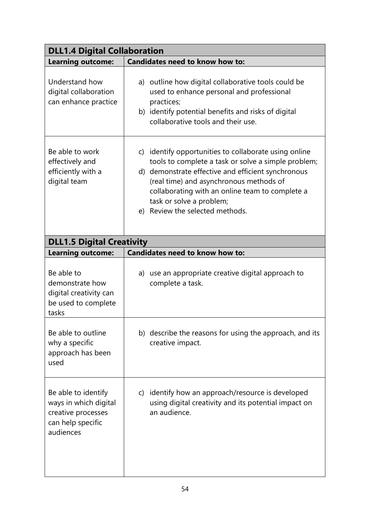| <b>DLL1.4 Digital Collaboration</b>                                                                  |                                                                                                                                                                                                                                                                                                                                 |  |
|------------------------------------------------------------------------------------------------------|---------------------------------------------------------------------------------------------------------------------------------------------------------------------------------------------------------------------------------------------------------------------------------------------------------------------------------|--|
| <b>Learning outcome:</b>                                                                             | <b>Candidates need to know how to:</b>                                                                                                                                                                                                                                                                                          |  |
| Understand how<br>digital collaboration<br>can enhance practice                                      | a) outline how digital collaborative tools could be<br>used to enhance personal and professional<br>practices;<br>b) identify potential benefits and risks of digital<br>collaborative tools and their use.                                                                                                                     |  |
| Be able to work<br>effectively and<br>efficiently with a<br>digital team                             | c) identify opportunities to collaborate using online<br>tools to complete a task or solve a simple problem;<br>d) demonstrate effective and efficient synchronous<br>(real time) and asynchronous methods of<br>collaborating with an online team to complete a<br>task or solve a problem;<br>e) Review the selected methods. |  |
| <b>DLL1.5 Digital Creativity</b>                                                                     |                                                                                                                                                                                                                                                                                                                                 |  |
| <b>Learning outcome:</b>                                                                             | <b>Candidates need to know how to:</b>                                                                                                                                                                                                                                                                                          |  |
| Be able to<br>demonstrate how<br>digital creativity can<br>be used to complete<br>tasks              | a) use an appropriate creative digital approach to<br>complete a task.                                                                                                                                                                                                                                                          |  |
| Be able to outline<br>why a specific<br>approach has been<br>used                                    | b) describe the reasons for using the approach, and its<br>creative impact.                                                                                                                                                                                                                                                     |  |
| Be able to identify<br>ways in which digital<br>creative processes<br>can help specific<br>audiences | c) identify how an approach/resource is developed<br>using digital creativity and its potential impact on<br>an audience.                                                                                                                                                                                                       |  |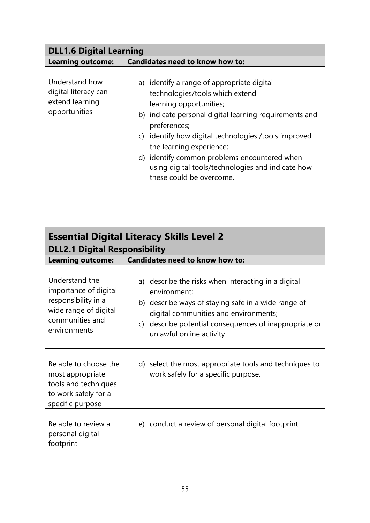| <b>DLL1.6 Digital Learning</b>                                             |                                                                                                                                                                                                                                                                                                                                                                                                            |
|----------------------------------------------------------------------------|------------------------------------------------------------------------------------------------------------------------------------------------------------------------------------------------------------------------------------------------------------------------------------------------------------------------------------------------------------------------------------------------------------|
| <b>Learning outcome:</b>                                                   | <b>Candidates need to know how to:</b>                                                                                                                                                                                                                                                                                                                                                                     |
| Understand how<br>digital literacy can<br>extend learning<br>opportunities | a) identify a range of appropriate digital<br>technologies/tools which extend<br>learning opportunities;<br>b) indicate personal digital learning requirements and<br>preferences;<br>identify how digital technologies /tools improved<br>C)<br>the learning experience;<br>d) identify common problems encountered when<br>using digital tools/technologies and indicate how<br>these could be overcome. |

| <b>Essential Digital Literacy Skills Level 2</b>                                                                           |                                                                                                                                                                                                                                                               |  |
|----------------------------------------------------------------------------------------------------------------------------|---------------------------------------------------------------------------------------------------------------------------------------------------------------------------------------------------------------------------------------------------------------|--|
| <b>DLL2.1 Digital Responsibility</b>                                                                                       |                                                                                                                                                                                                                                                               |  |
| <b>Learning outcome:</b>                                                                                                   | <b>Candidates need to know how to:</b>                                                                                                                                                                                                                        |  |
| Understand the<br>importance of digital<br>responsibility in a<br>wide range of digital<br>communities and<br>environments | a) describe the risks when interacting in a digital<br>environment;<br>b) describe ways of staying safe in a wide range of<br>digital communities and environments;<br>describe potential consequences of inappropriate or<br>C)<br>unlawful online activity. |  |
| Be able to choose the<br>most appropriate<br>tools and techniques<br>to work safely for a<br>specific purpose              | d) select the most appropriate tools and techniques to<br>work safely for a specific purpose.                                                                                                                                                                 |  |
| Be able to review a<br>personal digital<br>footprint                                                                       | e) conduct a review of personal digital footprint.                                                                                                                                                                                                            |  |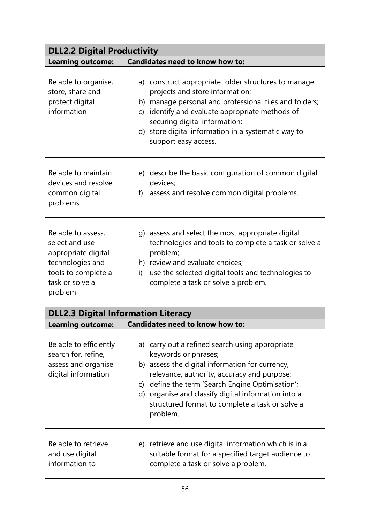| <b>DLL2.2 Digital Productivity</b>                                                                                                   |                                                                                                                                                                                                                                                                                                                                                     |  |
|--------------------------------------------------------------------------------------------------------------------------------------|-----------------------------------------------------------------------------------------------------------------------------------------------------------------------------------------------------------------------------------------------------------------------------------------------------------------------------------------------------|--|
| <b>Learning outcome:</b>                                                                                                             | Candidates need to know how to:                                                                                                                                                                                                                                                                                                                     |  |
| Be able to organise,<br>store, share and<br>protect digital<br>information                                                           | a) construct appropriate folder structures to manage<br>projects and store information;<br>manage personal and professional files and folders;<br>b)<br>identify and evaluate appropriate methods of<br>C)<br>securing digital information;<br>d) store digital information in a systematic way to<br>support easy access.                          |  |
| Be able to maintain<br>devices and resolve<br>common digital<br>problems                                                             | e) describe the basic configuration of common digital<br>devices;<br>assess and resolve common digital problems.<br>f)                                                                                                                                                                                                                              |  |
| Be able to assess,<br>select and use<br>appropriate digital<br>technologies and<br>tools to complete a<br>task or solve a<br>problem | g) assess and select the most appropriate digital<br>technologies and tools to complete a task or solve a<br>problem;<br>h) review and evaluate choices;<br>use the selected digital tools and technologies to<br>i)<br>complete a task or solve a problem.                                                                                         |  |
| <b>DLL2.3 Digital Information Literacy</b>                                                                                           |                                                                                                                                                                                                                                                                                                                                                     |  |
| Learning outcome:                                                                                                                    | <b>Candidates need to know how to:</b>                                                                                                                                                                                                                                                                                                              |  |
| Be able to efficiently<br>search for, refine,<br>assess and organise<br>digital information                                          | a) carry out a refined search using appropriate<br>keywords or phrases;<br>b) assess the digital information for currency,<br>relevance, authority, accuracy and purpose;<br>c) define the term 'Search Engine Optimisation';<br>d) organise and classify digital information into a<br>structured format to complete a task or solve a<br>problem. |  |
| Be able to retrieve<br>and use digital<br>information to                                                                             | e) retrieve and use digital information which is in a<br>suitable format for a specified target audience to<br>complete a task or solve a problem.                                                                                                                                                                                                  |  |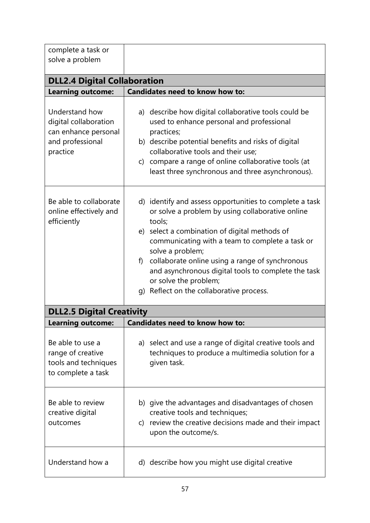| complete a task or<br>solve a problem                                                           |                                                                                                                                                                                                                                                                                                                                                                                                                                    |
|-------------------------------------------------------------------------------------------------|------------------------------------------------------------------------------------------------------------------------------------------------------------------------------------------------------------------------------------------------------------------------------------------------------------------------------------------------------------------------------------------------------------------------------------|
| <b>DLL2.4 Digital Collaboration</b>                                                             |                                                                                                                                                                                                                                                                                                                                                                                                                                    |
| <b>Learning outcome:</b>                                                                        | Candidates need to know how to:                                                                                                                                                                                                                                                                                                                                                                                                    |
| Understand how<br>digital collaboration<br>can enhance personal<br>and professional<br>practice | a) describe how digital collaborative tools could be<br>used to enhance personal and professional<br>practices;<br>b) describe potential benefits and risks of digital<br>collaborative tools and their use;<br>c) compare a range of online collaborative tools (at<br>least three synchronous and three asynchronous).                                                                                                           |
| Be able to collaborate<br>online effectively and<br>efficiently                                 | d) identify and assess opportunities to complete a task<br>or solve a problem by using collaborative online<br>tools;<br>e) select a combination of digital methods of<br>communicating with a team to complete a task or<br>solve a problem;<br>collaborate online using a range of synchronous<br>f)<br>and asynchronous digital tools to complete the task<br>or solve the problem;<br>g) Reflect on the collaborative process. |
| <b>DLL2.5 Digital Creativity</b>                                                                |                                                                                                                                                                                                                                                                                                                                                                                                                                    |
| Learning outcome:                                                                               | <b>Candidates need to know how to:</b>                                                                                                                                                                                                                                                                                                                                                                                             |
| Be able to use a<br>range of creative<br>tools and techniques<br>to complete a task             | a) select and use a range of digital creative tools and<br>techniques to produce a multimedia solution for a<br>given task.                                                                                                                                                                                                                                                                                                        |
| Be able to review<br>creative digital<br>outcomes                                               | b) give the advantages and disadvantages of chosen<br>creative tools and techniques;<br>c) review the creative decisions made and their impact<br>upon the outcome/s.                                                                                                                                                                                                                                                              |
| Understand how a                                                                                | d) describe how you might use digital creative                                                                                                                                                                                                                                                                                                                                                                                     |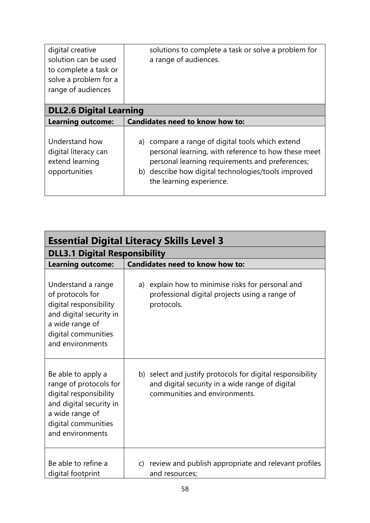| digital creative<br>solution can be used<br>to complete a task or<br>solve a problem for a<br>range of audiences | solutions to complete a task or solve a problem for<br>a range of audiences.                                                                                                                                                                  |  |
|------------------------------------------------------------------------------------------------------------------|-----------------------------------------------------------------------------------------------------------------------------------------------------------------------------------------------------------------------------------------------|--|
| <b>DLL2.6 Digital Learning</b>                                                                                   |                                                                                                                                                                                                                                               |  |
| <b>Learning outcome:</b>                                                                                         | <b>Candidates need to know how to:</b>                                                                                                                                                                                                        |  |
| Understand how<br>digital literacy can<br>extend learning<br>opportunities                                       | a) compare a range of digital tools which extend<br>personal learning, with reference to how these meet<br>personal learning requirements and preferences;<br>b) describe how digital technologies/tools improved<br>the learning experience. |  |

| <b>Essential Digital Literacy Skills Level 3</b>                                                                                                                |                                                                                                                                                |  |
|-----------------------------------------------------------------------------------------------------------------------------------------------------------------|------------------------------------------------------------------------------------------------------------------------------------------------|--|
| <b>DLL3.1 Digital Responsibility</b>                                                                                                                            |                                                                                                                                                |  |
| <b>Learning outcome:</b>                                                                                                                                        | <b>Candidates need to know how to:</b>                                                                                                         |  |
| Understand a range<br>of protocols for<br>digital responsibility<br>and digital security in<br>a wide range of<br>digital communities<br>and environments       | a) explain how to minimise risks for personal and<br>professional digital projects using a range of<br>protocols.                              |  |
| Be able to apply a<br>range of protocols for<br>digital responsibility<br>and digital security in<br>a wide range of<br>digital communities<br>and environments | b) select and justify protocols for digital responsibility<br>and digital security in a wide range of digital<br>communities and environments. |  |
| Be able to refine a<br>digital footprint                                                                                                                        | c) review and publish appropriate and relevant profiles<br>and resources;                                                                      |  |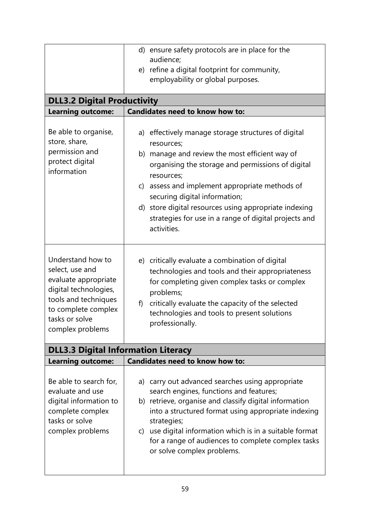| <b>DLL3.2 Digital Productivity</b><br><b>Learning outcome:</b><br>Be able to organise,<br>store, share,<br>permission and<br>protect digital<br>information | d) ensure safety protocols are in place for the<br>audience;<br>e) refine a digital footprint for community,<br>employability or global purposes.<br>Candidates need to know how to:<br>a) effectively manage storage structures of digital<br>resources;<br>b) manage and review the most efficient way of<br>organising the storage and permissions of digital<br>resources;                     |
|-------------------------------------------------------------------------------------------------------------------------------------------------------------|----------------------------------------------------------------------------------------------------------------------------------------------------------------------------------------------------------------------------------------------------------------------------------------------------------------------------------------------------------------------------------------------------|
| Understand how to<br>select, use and<br>evaluate appropriate<br>digital technologies,<br>tools and techniques                                               | assess and implement appropriate methods of<br>$\mathsf{C}$<br>securing digital information;<br>d) store digital resources using appropriate indexing<br>strategies for use in a range of digital projects and<br>activities.<br>e) critically evaluate a combination of digital<br>technologies and tools and their appropriateness<br>for completing given complex tasks or complex<br>problems; |
| to complete complex<br>tasks or solve<br>complex problems<br><b>DLL3.3 Digital Information Literacy</b><br><b>Learning outcome:</b>                         | critically evaluate the capacity of the selected<br>f)<br>technologies and tools to present solutions<br>professionally.<br><b>Candidates need to know how to:</b>                                                                                                                                                                                                                                 |
| Be able to search for,<br>evaluate and use<br>digital information to<br>complete complex<br>tasks or solve<br>complex problems                              | a) carry out advanced searches using appropriate<br>search engines, functions and features;<br>b) retrieve, organise and classify digital information<br>into a structured format using appropriate indexing<br>strategies;<br>use digital information which is in a suitable format<br>$\mathsf{C}$<br>for a range of audiences to complete complex tasks<br>or solve complex problems.           |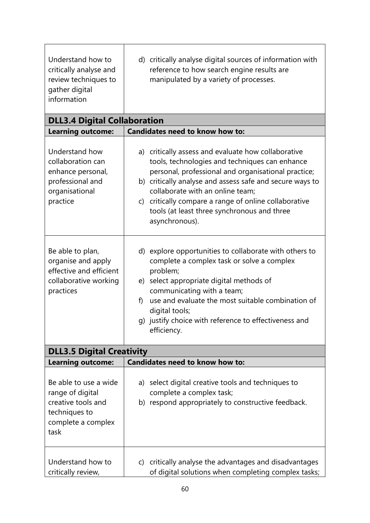| Understand how to<br>critically analyse and<br>review techniques to<br>gather digital<br>information           | d) critically analyse digital sources of information with<br>reference to how search engine results are<br>manipulated by a variety of processes.                                                                                                                                                                                                                                      |
|----------------------------------------------------------------------------------------------------------------|----------------------------------------------------------------------------------------------------------------------------------------------------------------------------------------------------------------------------------------------------------------------------------------------------------------------------------------------------------------------------------------|
| <b>DLL3.4 Digital Collaboration</b>                                                                            |                                                                                                                                                                                                                                                                                                                                                                                        |
| <b>Learning outcome:</b>                                                                                       | Candidates need to know how to:                                                                                                                                                                                                                                                                                                                                                        |
| Understand how<br>collaboration can<br>enhance personal,<br>professional and<br>organisational<br>practice     | a) critically assess and evaluate how collaborative<br>tools, technologies and techniques can enhance<br>personal, professional and organisational practice;<br>b) critically analyse and assess safe and secure ways to<br>collaborate with an online team;<br>c) critically compare a range of online collaborative<br>tools (at least three synchronous and three<br>asynchronous). |
| Be able to plan,<br>organise and apply<br>effective and efficient<br>collaborative working<br>practices        | d) explore opportunities to collaborate with others to<br>complete a complex task or solve a complex<br>problem;<br>select appropriate digital methods of<br>e)<br>communicating with a team;<br>use and evaluate the most suitable combination of<br>f)<br>digital tools;<br>g) justify choice with reference to effectiveness and<br>efficiency.                                     |
| <b>DLL3.5 Digital Creativity</b>                                                                               |                                                                                                                                                                                                                                                                                                                                                                                        |
| <b>Learning outcome:</b>                                                                                       | <b>Candidates need to know how to:</b>                                                                                                                                                                                                                                                                                                                                                 |
| Be able to use a wide<br>range of digital<br>creative tools and<br>techniques to<br>complete a complex<br>task | a) select digital creative tools and techniques to<br>complete a complex task;<br>b) respond appropriately to constructive feedback.                                                                                                                                                                                                                                                   |
| Understand how to<br>critically review,                                                                        | c) critically analyse the advantages and disadvantages<br>of digital solutions when completing complex tasks;                                                                                                                                                                                                                                                                          |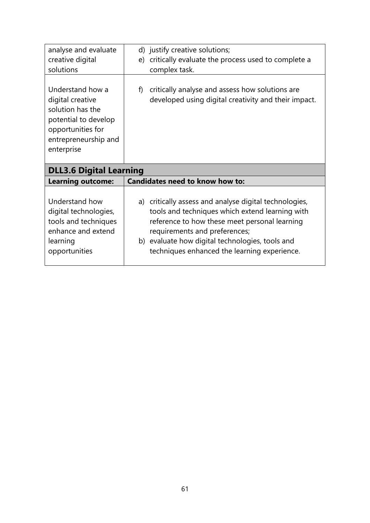| analyse and evaluate                                                                                                                        | d) justify creative solutions;                                                                                |
|---------------------------------------------------------------------------------------------------------------------------------------------|---------------------------------------------------------------------------------------------------------------|
| creative digital                                                                                                                            | e) critically evaluate the process used to complete a                                                         |
| solutions                                                                                                                                   | complex task.                                                                                                 |
| Understand how a<br>digital creative<br>solution has the<br>potential to develop<br>opportunities for<br>entrepreneurship and<br>enterprise | critically analyse and assess how solutions are<br>f)<br>developed using digital creativity and their impact. |
|                                                                                                                                             |                                                                                                               |
| <b>DLL3.6 Digital Learning</b>                                                                                                              |                                                                                                               |
| <b>Learning outcome:</b>                                                                                                                    | <b>Candidates need to know how to:</b>                                                                        |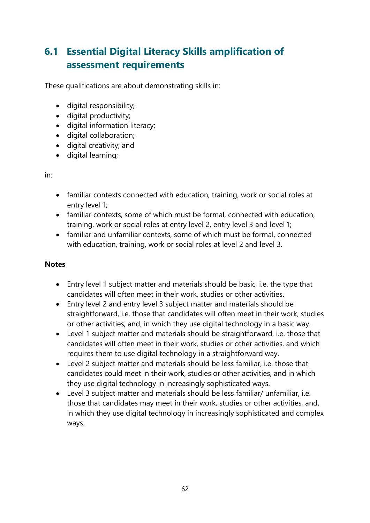# **6.1 Essential Digital Literacy Skills amplification of assessment requirements**

These qualifications are about demonstrating skills in:

- digital responsibility;
- digital productivity;
- digital information literacy;
- digital collaboration;
- digital creativity; and
- digital learning;

in:

- familiar contexts connected with education, training, work or social roles at entry level 1;
- familiar contexts, some of which must be formal, connected with education, training, work or social roles at entry level 2, entry level 3 and level 1;
- familiar and unfamiliar contexts, some of which must be formal, connected with education, training, work or social roles at level 2 and level 3.

### **Notes**

- Entry level 1 subject matter and materials should be basic, i.e. the type that candidates will often meet in their work, studies or other activities.
- Entry level 2 and entry level 3 subject matter and materials should be straightforward, i.e. those that candidates will often meet in their work, studies or other activities, and, in which they use digital technology in a basic way.
- Level 1 subject matter and materials should be straightforward, i.e. those that candidates will often meet in their work, studies or other activities, and which requires them to use digital technology in a straightforward way.
- Level 2 subject matter and materials should be less familiar, i.e. those that candidates could meet in their work, studies or other activities, and in which they use digital technology in increasingly sophisticated ways.
- Level 3 subject matter and materials should be less familiar/ unfamiliar, i.e. those that candidates may meet in their work, studies or other activities, and, in which they use digital technology in increasingly sophisticated and complex ways.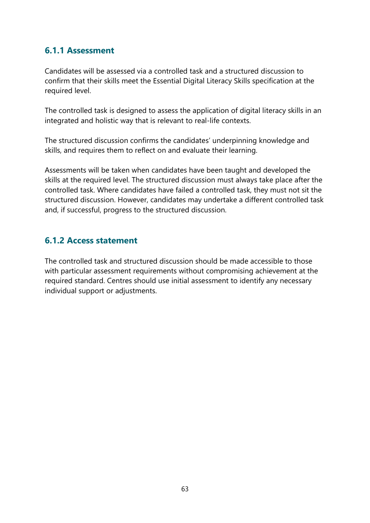### **6.1.1 Assessment**

Candidates will be assessed via a controlled task and a structured discussion to confirm that their skills meet the Essential Digital Literacy Skills specification at the required level.

The controlled task is designed to assess the application of digital literacy skills in an integrated and holistic way that is relevant to real-life contexts.

The structured discussion confirms the candidates' underpinning knowledge and skills, and requires them to reflect on and evaluate their learning.

Assessments will be taken when candidates have been taught and developed the skills at the required level. The structured discussion must always take place after the controlled task. Where candidates have failed a controlled task, they must not sit the structured discussion. However, candidates may undertake a different controlled task and, if successful, progress to the structured discussion.

### **6.1.2 Access statement**

The controlled task and structured discussion should be made accessible to those with particular assessment requirements without compromising achievement at the required standard. Centres should use initial assessment to identify any necessary individual support or adjustments.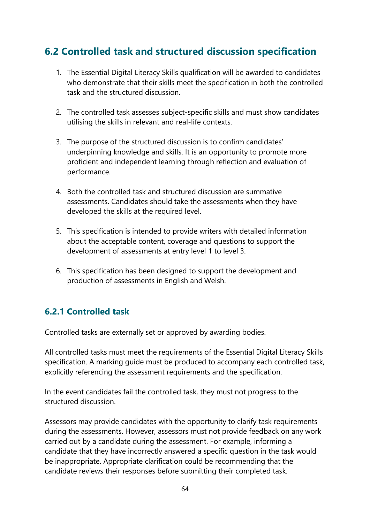# **6.2 Controlled task and structured discussion specification**

- 1. The Essential Digital Literacy Skills qualification will be awarded to candidates who demonstrate that their skills meet the specification in both the controlled task and the structured discussion.
- 2. The controlled task assesses subject-specific skills and must show candidates utilising the skills in relevant and real-life contexts.
- 3. The purpose of the structured discussion is to confirm candidates' underpinning knowledge and skills. It is an opportunity to promote more proficient and independent learning through reflection and evaluation of performance.
- 4. Both the controlled task and structured discussion are summative assessments. Candidates should take the assessments when they have developed the skills at the required level.
- 5. This specification is intended to provide writers with detailed information about the acceptable content, coverage and questions to support the development of assessments at entry level 1 to level 3.
- 6. This specification has been designed to support the development and production of assessments in English and Welsh.

### **6.2.1 Controlled task**

Controlled tasks are externally set or approved by awarding bodies.

All controlled tasks must meet the requirements of the Essential Digital Literacy Skills specification. A marking guide must be produced to accompany each controlled task, explicitly referencing the assessment requirements and the specification.

In the event candidates fail the controlled task, they must not progress to the structured discussion.

Assessors may provide candidates with the opportunity to clarify task requirements during the assessments. However, assessors must not provide feedback on any work carried out by a candidate during the assessment. For example, informing a candidate that they have incorrectly answered a specific question in the task would be inappropriate. Appropriate clarification could be recommending that the candidate reviews their responses before submitting their completed task.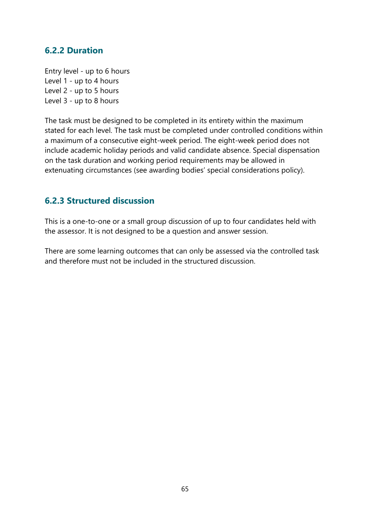### **6.2.2 Duration**

Entry level - up to 6 hours Level 1 - up to 4 hours Level 2 - up to 5 hours Level 3 - up to 8 hours

The task must be designed to be completed in its entirety within the maximum stated for each level. The task must be completed under controlled conditions within a maximum of a consecutive eight-week period. The eight-week period does not include academic holiday periods and valid candidate absence. Special dispensation on the task duration and working period requirements may be allowed in extenuating circumstances (see awarding bodies' special considerations policy).

### **6.2.3 Structured discussion**

This is a one-to-one or a small group discussion of up to four candidates held with the assessor. It is not designed to be a question and answer session.

There are some learning outcomes that can only be assessed via the controlled task and therefore must not be included in the structured discussion.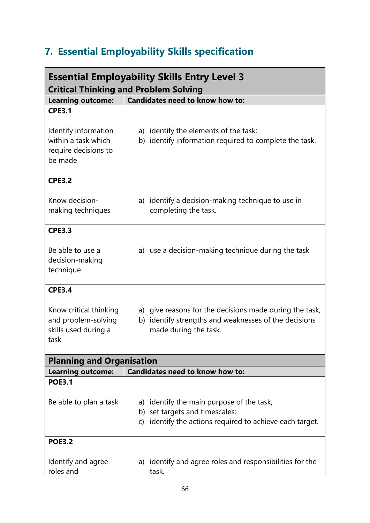# **7. Essential Employability Skills specification**

| <b>Essential Employability Skills Entry Level 3</b>                                             |                                                                                                                                            |  |
|-------------------------------------------------------------------------------------------------|--------------------------------------------------------------------------------------------------------------------------------------------|--|
| <b>Critical Thinking and Problem Solving</b>                                                    |                                                                                                                                            |  |
| <b>Learning outcome:</b>                                                                        | <b>Candidates need to know how to:</b>                                                                                                     |  |
| <b>CPE3.1</b><br>Identify information<br>within a task which<br>require decisions to<br>be made | a) identify the elements of the task;<br>b) identify information required to complete the task.                                            |  |
| <b>CPE3.2</b>                                                                                   |                                                                                                                                            |  |
| Know decision-<br>making techniques                                                             | a) identify a decision-making technique to use in<br>completing the task.                                                                  |  |
| <b>CPE3.3</b>                                                                                   |                                                                                                                                            |  |
| Be able to use a<br>decision-making<br>technique                                                | a) use a decision-making technique during the task                                                                                         |  |
| <b>CPE3.4</b>                                                                                   |                                                                                                                                            |  |
| Know critical thinking<br>and problem-solving<br>skills used during a<br>task                   | a) give reasons for the decisions made during the task;<br>b) identify strengths and weaknesses of the decisions<br>made during the task.  |  |
| <b>Planning and Organisation</b>                                                                |                                                                                                                                            |  |
| <b>Learning outcome:</b>                                                                        | <b>Candidates need to know how to:</b>                                                                                                     |  |
| <b>POE3.1</b>                                                                                   |                                                                                                                                            |  |
| Be able to plan a task                                                                          | a) identify the main purpose of the task;<br>b) set targets and timescales;<br>identify the actions required to achieve each target.<br>C) |  |
| <b>POE3.2</b>                                                                                   |                                                                                                                                            |  |
| Identify and agree<br>roles and                                                                 | a) identify and agree roles and responsibilities for the<br>task.                                                                          |  |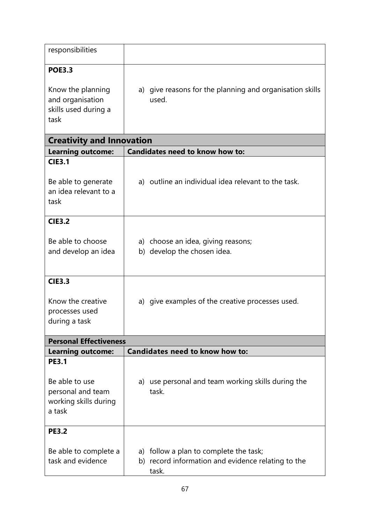| responsibilities                                                                       |                                                                   |
|----------------------------------------------------------------------------------------|-------------------------------------------------------------------|
| <b>POE3.3</b><br>Know the planning<br>and organisation<br>skills used during a<br>task | a) give reasons for the planning and organisation skills<br>used. |

| <b>Creativity and Innovation</b>                                                       |                                                                                                       |
|----------------------------------------------------------------------------------------|-------------------------------------------------------------------------------------------------------|
| <b>Learning outcome:</b>                                                               | <b>Candidates need to know how to:</b>                                                                |
| <b>CIE3.1</b><br>Be able to generate<br>an idea relevant to a<br>task                  | a) outline an individual idea relevant to the task.                                                   |
| <b>CIE3.2</b>                                                                          |                                                                                                       |
| Be able to choose<br>and develop an idea                                               | a) choose an idea, giving reasons;<br>b) develop the chosen idea.                                     |
| <b>CIE3.3</b>                                                                          |                                                                                                       |
| Know the creative<br>processes used<br>during a task                                   | a) give examples of the creative processes used.                                                      |
| <b>Personal Effectiveness</b>                                                          |                                                                                                       |
| <b>Learning outcome:</b>                                                               | <b>Candidates need to know how to:</b>                                                                |
| <b>PE3.1</b><br>Be able to use<br>personal and team<br>working skills during<br>a task | use personal and team working skills during the<br>a)<br>task.                                        |
| <b>PE3.2</b>                                                                           |                                                                                                       |
| Be able to complete a<br>task and evidence                                             | a) follow a plan to complete the task;<br>b) record information and evidence relating to the<br>task. |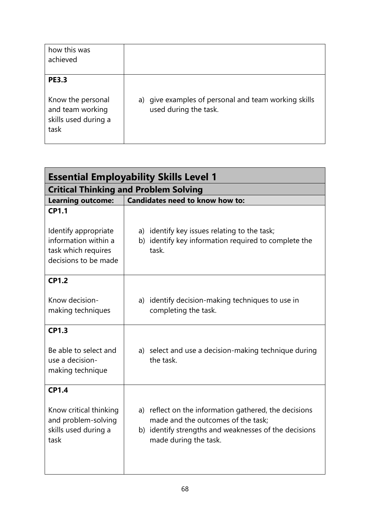| how this was<br>achieved                                                              |                                                                               |
|---------------------------------------------------------------------------------------|-------------------------------------------------------------------------------|
| <b>PE3.3</b><br>Know the personal<br>and team working<br>skills used during a<br>task | a) give examples of personal and team working skills<br>used during the task. |

| <b>Essential Employability Skills Level 1</b>                                 |                                                                                                                                                                               |
|-------------------------------------------------------------------------------|-------------------------------------------------------------------------------------------------------------------------------------------------------------------------------|
| <b>Critical Thinking and Problem Solving</b>                                  |                                                                                                                                                                               |
| <b>Learning outcome:</b>                                                      | Candidates need to know how to:                                                                                                                                               |
| <b>CP1.1</b><br>Identify appropriate                                          | a) identify key issues relating to the task;                                                                                                                                  |
| information within a<br>task which requires<br>decisions to be made           | b) identify key information required to complete the<br>task.                                                                                                                 |
| <b>CP1.2</b>                                                                  |                                                                                                                                                                               |
| Know decision-<br>making techniques                                           | a) identify decision-making techniques to use in<br>completing the task.                                                                                                      |
| <b>CP1.3</b>                                                                  |                                                                                                                                                                               |
| Be able to select and<br>use a decision-<br>making technique                  | a) select and use a decision-making technique during<br>the task.                                                                                                             |
| <b>CP1.4</b>                                                                  |                                                                                                                                                                               |
| Know critical thinking<br>and problem-solving<br>skills used during a<br>task | a) reflect on the information gathered, the decisions<br>made and the outcomes of the task;<br>b) identify strengths and weaknesses of the decisions<br>made during the task. |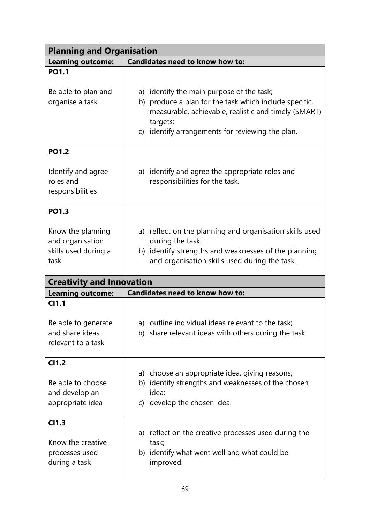| <b>Planning and Organisation</b>                                      |                                                                                                                                                                                                                             |  |
|-----------------------------------------------------------------------|-----------------------------------------------------------------------------------------------------------------------------------------------------------------------------------------------------------------------------|--|
| <b>Learning outcome:</b>                                              | Candidates need to know how to:                                                                                                                                                                                             |  |
| <b>PO1.1</b>                                                          |                                                                                                                                                                                                                             |  |
| Be able to plan and<br>organise a task                                | a) identify the main purpose of the task;<br>b) produce a plan for the task which include specific,<br>measurable, achievable, realistic and timely (SMART)<br>targets;<br>c) identify arrangements for reviewing the plan. |  |
| <b>PO1.2</b>                                                          |                                                                                                                                                                                                                             |  |
| Identify and agree<br>roles and<br>responsibilities                   | a) identify and agree the appropriate roles and<br>responsibilities for the task.                                                                                                                                           |  |
| <b>PO1.3</b>                                                          |                                                                                                                                                                                                                             |  |
| Know the planning<br>and organisation<br>skills used during a<br>task | a) reflect on the planning and organisation skills used<br>during the task;<br>b) identify strengths and weaknesses of the planning<br>and organisation skills used during the task.                                        |  |
| <b>Creativity and Innovation</b>                                      |                                                                                                                                                                                                                             |  |
| <b>Learning outcome:</b>                                              | <b>Candidates need to know how to:</b>                                                                                                                                                                                      |  |
| C <sub>11.1</sub>                                                     |                                                                                                                                                                                                                             |  |
| Be able to generate<br>and share ideas<br>relevant to a task          | a) outline individual ideas relevant to the task;<br>b) share relevant ideas with others during the task.                                                                                                                   |  |
| C <sub>11.2</sub>                                                     |                                                                                                                                                                                                                             |  |
| Be able to choose<br>and develop an<br>appropriate idea               | a) choose an appropriate idea, giving reasons;<br>b) identify strengths and weaknesses of the chosen<br>idea;<br>c) develop the chosen idea.                                                                                |  |
| C <sub>11.3</sub>                                                     |                                                                                                                                                                                                                             |  |
| Know the creative<br>processes used<br>during a task                  | a) reflect on the creative processes used during the<br>task;<br>b) identify what went well and what could be<br>improved.                                                                                                  |  |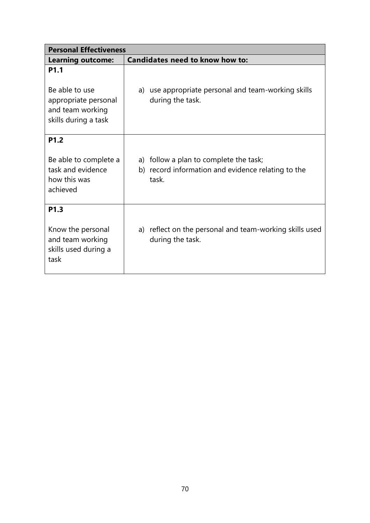| <b>Personal Effectiveness</b>                                                                          |                                                                                                       |
|--------------------------------------------------------------------------------------------------------|-------------------------------------------------------------------------------------------------------|
| <b>Learning outcome:</b>                                                                               | <b>Candidates need to know how to:</b>                                                                |
| P <sub>1.1</sub><br>Be able to use<br>appropriate personal<br>and team working<br>skills during a task | a) use appropriate personal and team-working skills<br>during the task.                               |
| P <sub>1.2</sub><br>Be able to complete a<br>task and evidence<br>how this was<br>achieved             | a) follow a plan to complete the task;<br>b) record information and evidence relating to the<br>task. |
| P <sub>1.3</sub><br>Know the personal<br>and team working<br>skills used during a<br>task              | a) reflect on the personal and team-working skills used<br>during the task.                           |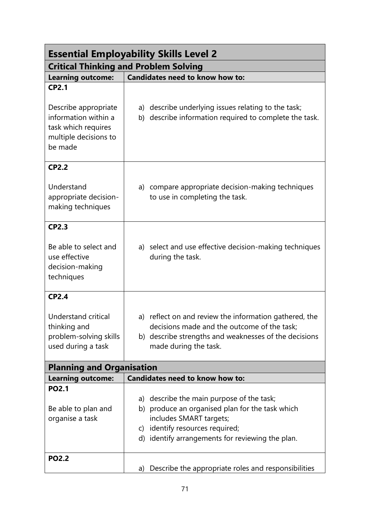| <b>Essential Employability Skills Level 2</b>                                                           |                                                                                                                                                                                                                   |
|---------------------------------------------------------------------------------------------------------|-------------------------------------------------------------------------------------------------------------------------------------------------------------------------------------------------------------------|
| <b>Critical Thinking and Problem Solving</b>                                                            |                                                                                                                                                                                                                   |
| <b>Learning outcome:</b>                                                                                | Candidates need to know how to:                                                                                                                                                                                   |
| <b>CP2.1</b>                                                                                            |                                                                                                                                                                                                                   |
| Describe appropriate<br>information within a<br>task which requires<br>multiple decisions to<br>be made | a) describe underlying issues relating to the task;<br>b) describe information required to complete the task.                                                                                                     |
| <b>CP2.2</b>                                                                                            |                                                                                                                                                                                                                   |
| Understand<br>appropriate decision-<br>making techniques                                                | a) compare appropriate decision-making techniques<br>to use in completing the task.                                                                                                                               |
| <b>CP2.3</b>                                                                                            |                                                                                                                                                                                                                   |
| Be able to select and<br>use effective<br>decision-making<br>techniques                                 | a) select and use effective decision-making techniques<br>during the task.                                                                                                                                        |
| <b>CP2.4</b>                                                                                            |                                                                                                                                                                                                                   |
| Understand critical<br>thinking and<br>problem-solving skills<br>used during a task                     | a) reflect on and review the information gathered, the<br>decisions made and the outcome of the task;<br>b) describe strengths and weaknesses of the decisions<br>made during the task.                           |
| <b>Planning and Organisation</b>                                                                        |                                                                                                                                                                                                                   |
| <b>Learning outcome:</b>                                                                                | <b>Candidates need to know how to:</b>                                                                                                                                                                            |
| <b>PO2.1</b><br>Be able to plan and<br>organise a task                                                  | a) describe the main purpose of the task;<br>b) produce an organised plan for the task which<br>includes SMART targets;<br>identify resources required;<br>C)<br>d) identify arrangements for reviewing the plan. |
| <b>PO2.2</b>                                                                                            | a) Describe the appropriate roles and responsibilities                                                                                                                                                            |
|                                                                                                         |                                                                                                                                                                                                                   |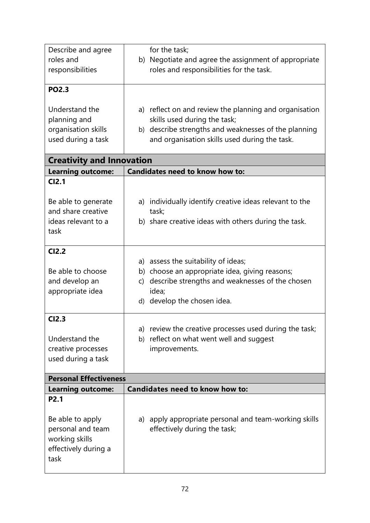| Describe and agree<br>roles and<br>responsibilities                                                         | for the task;<br>b) Negotiate and agree the assignment of appropriate<br>roles and responsibilities for the task.                                                                               |
|-------------------------------------------------------------------------------------------------------------|-------------------------------------------------------------------------------------------------------------------------------------------------------------------------------------------------|
| <b>PO2.3</b>                                                                                                |                                                                                                                                                                                                 |
| Understand the<br>planning and<br>organisation skills<br>used during a task                                 | a) reflect on and review the planning and organisation<br>skills used during the task;<br>b) describe strengths and weaknesses of the planning<br>and organisation skills used during the task. |
| <b>Creativity and Innovation</b>                                                                            |                                                                                                                                                                                                 |
| <b>Learning outcome:</b>                                                                                    | Candidates need to know how to:                                                                                                                                                                 |
| CI2.1<br>Be able to generate<br>and share creative<br>ideas relevant to a<br>task                           | a) individually identify creative ideas relevant to the<br>task;<br>b) share creative ideas with others during the task.                                                                        |
| <b>CI2.2</b>                                                                                                |                                                                                                                                                                                                 |
| Be able to choose<br>and develop an<br>appropriate idea                                                     | a) assess the suitability of ideas;<br>b) choose an appropriate idea, giving reasons;<br>c) describe strengths and weaknesses of the chosen<br>idea;<br>d) develop the chosen idea.             |
| <b>CI2.3</b>                                                                                                |                                                                                                                                                                                                 |
| Understand the<br>creative processes<br>used during a task                                                  | a) review the creative processes used during the task;<br>reflect on what went well and suggest<br>b)<br>improvements.                                                                          |
| <b>Personal Effectiveness</b>                                                                               |                                                                                                                                                                                                 |
| <b>Learning outcome:</b>                                                                                    | <b>Candidates need to know how to:</b>                                                                                                                                                          |
| P <sub>2.1</sub><br>Be able to apply<br>personal and team<br>working skills<br>effectively during a<br>task | a) apply appropriate personal and team-working skills<br>effectively during the task;                                                                                                           |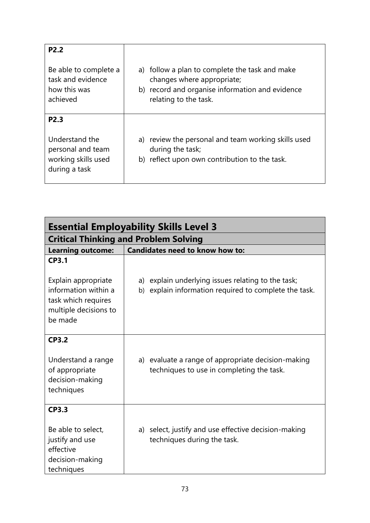| P <sub>2.2</sub>                                                            |                                                                                                                                                          |
|-----------------------------------------------------------------------------|----------------------------------------------------------------------------------------------------------------------------------------------------------|
| Be able to complete a<br>task and evidence<br>how this was<br>achieved      | a) follow a plan to complete the task and make<br>changes where appropriate;<br>b) record and organise information and evidence<br>relating to the task. |
| P <sub>2.3</sub>                                                            |                                                                                                                                                          |
| Understand the<br>personal and team<br>working skills used<br>during a task | a) review the personal and team working skills used<br>during the task;<br>b) reflect upon own contribution to the task.                                 |

| <b>Essential Employability Skills Level 3</b>                                                          |                                                                                                                |  |  |
|--------------------------------------------------------------------------------------------------------|----------------------------------------------------------------------------------------------------------------|--|--|
| <b>Critical Thinking and Problem Solving</b>                                                           |                                                                                                                |  |  |
| <b>Learning outcome:</b>                                                                               | <b>Candidates need to know how to:</b>                                                                         |  |  |
| <b>CP3.1</b>                                                                                           |                                                                                                                |  |  |
| Explain appropriate<br>information within a<br>task which requires<br>multiple decisions to<br>be made | a) explain underlying issues relating to the task;<br>explain information required to complete the task.<br>b) |  |  |
| <b>CP3.2</b><br>Understand a range<br>of appropriate<br>decision-making<br>techniques                  | a) evaluate a range of appropriate decision-making<br>techniques to use in completing the task.                |  |  |
| <b>CP3.3</b><br>Be able to select,<br>justify and use<br>effective<br>decision-making<br>techniques    | a) select, justify and use effective decision-making<br>techniques during the task.                            |  |  |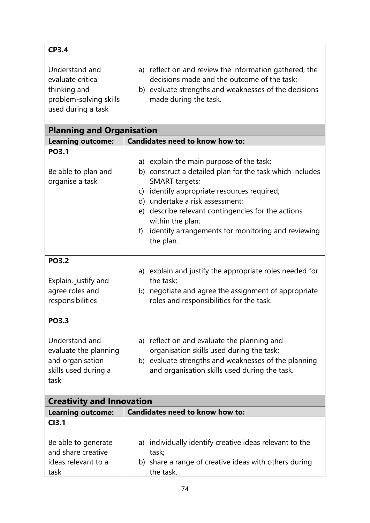| <b>CP3.4</b>                                                                                        |                                                                                                                                                                                         |
|-----------------------------------------------------------------------------------------------------|-----------------------------------------------------------------------------------------------------------------------------------------------------------------------------------------|
| Understand and<br>evaluate critical<br>thinking and<br>problem-solving skills<br>used during a task | a) reflect on and review the information gathered, the<br>decisions made and the outcome of the task;<br>b) evaluate strengths and weaknesses of the decisions<br>made during the task. |

| <b>Planning and Organisation</b>                                                                            |                                                                                                                                                                                                                                                                                                                                                                                 |
|-------------------------------------------------------------------------------------------------------------|---------------------------------------------------------------------------------------------------------------------------------------------------------------------------------------------------------------------------------------------------------------------------------------------------------------------------------------------------------------------------------|
| <b>Learning outcome:</b>                                                                                    | <b>Candidates need to know how to:</b>                                                                                                                                                                                                                                                                                                                                          |
| <b>PO3.1</b><br>Be able to plan and<br>organise a task                                                      | a) explain the main purpose of the task;<br>b) construct a detailed plan for the task which includes<br><b>SMART</b> targets;<br>identify appropriate resources required;<br>$\mathsf{C}$<br>d) undertake a risk assessment;<br>e) describe relevant contingencies for the actions<br>within the plan;<br>identify arrangements for monitoring and reviewing<br>f)<br>the plan. |
| <b>PO3.2</b><br>Explain, justify and<br>agree roles and<br>responsibilities                                 | a) explain and justify the appropriate roles needed for<br>the task;<br>b) negotiate and agree the assignment of appropriate<br>roles and responsibilities for the task.                                                                                                                                                                                                        |
| <b>PO3.3</b><br>Understand and<br>evaluate the planning<br>and organisation<br>skills used during a<br>task | a) reflect on and evaluate the planning and<br>organisation skills used during the task;<br>b) evaluate strengths and weaknesses of the planning<br>and organisation skills used during the task.                                                                                                                                                                               |
| <b>Creativity and Innovation</b>                                                                            |                                                                                                                                                                                                                                                                                                                                                                                 |

| Creativity and Innovation |                                                         |
|---------------------------|---------------------------------------------------------|
| <b>Learning outcome:</b>  | Candidates need to know how to:                         |
| <b>CI3.1</b>              |                                                         |
|                           |                                                         |
| Be able to generate       | a) individually identify creative ideas relevant to the |
| and share creative        | task;                                                   |
| ideas relevant to a       | b) share a range of creative ideas with others during   |
| task                      | the task.                                               |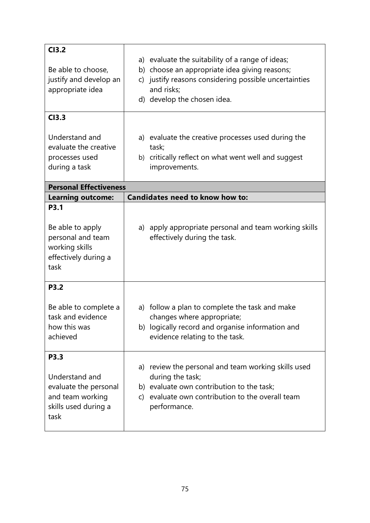| CI3.2<br>Be able to choose,<br>justify and develop an<br>appropriate idea                              | a) evaluate the suitability of a range of ideas;<br>b) choose an appropriate idea giving reasons;<br>c) justify reasons considering possible uncertainties<br>and risks;<br>d) develop the chosen idea. |
|--------------------------------------------------------------------------------------------------------|---------------------------------------------------------------------------------------------------------------------------------------------------------------------------------------------------------|
| CI3.3<br>Understand and<br>evaluate the creative<br>processes used<br>during a task                    | a) evaluate the creative processes used during the<br>task;<br>b) critically reflect on what went well and suggest<br>improvements.                                                                     |
| <b>Personal Effectiveness</b>                                                                          |                                                                                                                                                                                                         |
| <b>Learning outcome:</b>                                                                               | <b>Candidates need to know how to:</b>                                                                                                                                                                  |
| <b>P3.1</b><br>Be able to apply<br>personal and team<br>working skills<br>effectively during a<br>task | a) apply appropriate personal and team working skills<br>effectively during the task.                                                                                                                   |
| <b>P3.2</b><br>Be able to complete a<br>task and evidence<br>how this was<br>achieved                  | a) follow a plan to complete the task and make<br>changes where appropriate;<br>b) logically record and organise information and<br>evidence relating to the task.                                      |
| P3.3<br>Understand and<br>evaluate the personal<br>and team working<br>skills used during a<br>task    | a) review the personal and team working skills used<br>during the task;<br>b) evaluate own contribution to the task;<br>evaluate own contribution to the overall team<br>C)<br>performance.             |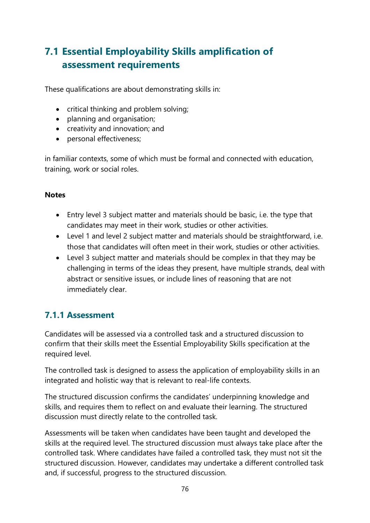# **7.1 Essential Employability Skills amplification of assessment requirements**

These qualifications are about demonstrating skills in:

- critical thinking and problem solving;
- planning and organisation;
- creativity and innovation; and
- personal effectiveness;

in familiar contexts, some of which must be formal and connected with education, training, work or social roles.

#### **Notes**

- Entry level 3 subject matter and materials should be basic, i.e. the type that candidates may meet in their work, studies or other activities.
- Level 1 and level 2 subject matter and materials should be straightforward, i.e. those that candidates will often meet in their work, studies or other activities.
- Level 3 subject matter and materials should be complex in that they may be challenging in terms of the ideas they present, have multiple strands, deal with abstract or sensitive issues, or include lines of reasoning that are not immediately clear.

### **7.1.1 Assessment**

Candidates will be assessed via a controlled task and a structured discussion to confirm that their skills meet the Essential Employability Skills specification at the required level.

The controlled task is designed to assess the application of employability skills in an integrated and holistic way that is relevant to real-life contexts.

The structured discussion confirms the candidates' underpinning knowledge and skills, and requires them to reflect on and evaluate their learning. The structured discussion must directly relate to the controlled task.

Assessments will be taken when candidates have been taught and developed the skills at the required level. The structured discussion must always take place after the controlled task. Where candidates have failed a controlled task, they must not sit the structured discussion. However, candidates may undertake a different controlled task and, if successful, progress to the structured discussion.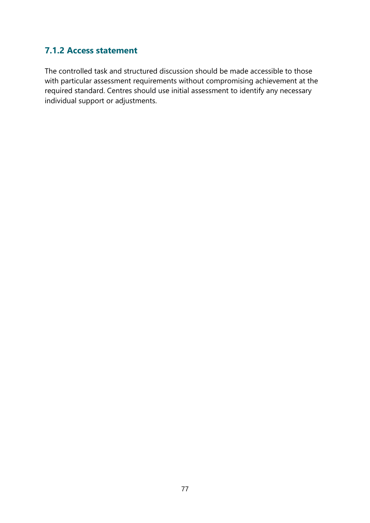### **7.1.2 Access statement**

The controlled task and structured discussion should be made accessible to those with particular assessment requirements without compromising achievement at the required standard. Centres should use initial assessment to identify any necessary individual support or adjustments.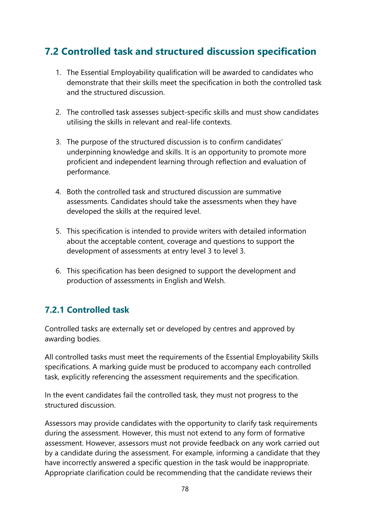## **7.2 Controlled task and structured discussion specification**

- 1. The Essential Employability qualification will be awarded to candidates who demonstrate that their skills meet the specification in both the controlled task and the structured discussion.
- 2. The controlled task assesses subject-specific skills and must show candidates utilising the skills in relevant and real-life contexts.
- 3. The purpose of the structured discussion is to confirm candidates' underpinning knowledge and skills. It is an opportunity to promote more proficient and independent learning through reflection and evaluation of performance.
- 4. Both the controlled task and structured discussion are summative assessments. Candidates should take the assessments when they have developed the skills at the required level.
- 5. This specification is intended to provide writers with detailed information about the acceptable content, coverage and questions to support the development of assessments at entry level 3 to level 3.
- 6. This specification has been designed to support the development and production of assessments in English and Welsh.

### **7.2.1 Controlled task**

Controlled tasks are externally set or developed by centres and approved by awarding bodies.

All controlled tasks must meet the requirements of the Essential Employability Skills specifications. A marking guide must be produced to accompany each controlled task, explicitly referencing the assessment requirements and the specification.

In the event candidates fail the controlled task, they must not progress to the structured discussion.

Assessors may provide candidates with the opportunity to clarify task requirements during the assessment. However, this must not extend to any form of formative assessment. However, assessors must not provide feedback on any work carried out by a candidate during the assessment. For example, informing a candidate that they have incorrectly answered a specific question in the task would be inappropriate. Appropriate clarification could be recommending that the candidate reviews their